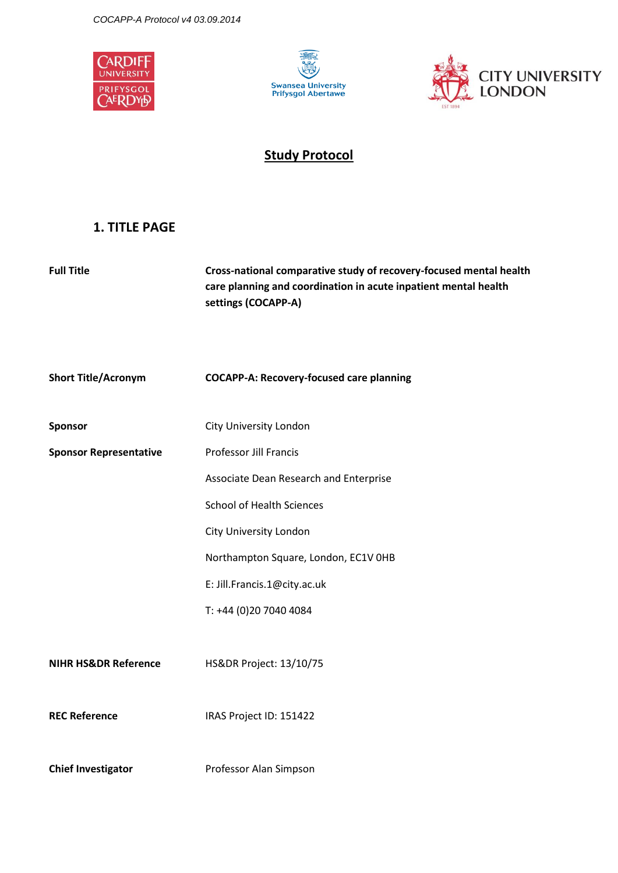





# **Study Protocol**

# <span id="page-0-0"></span>**1. TITLE PAGE**

| <b>Full Title</b>               | Cross-national comparative study of recovery-focused mental health<br>care planning and coordination in acute inpatient mental health<br>settings (COCAPP-A) |  |
|---------------------------------|--------------------------------------------------------------------------------------------------------------------------------------------------------------|--|
| <b>Short Title/Acronym</b>      | <b>COCAPP-A: Recovery-focused care planning</b>                                                                                                              |  |
| <b>Sponsor</b>                  | City University London                                                                                                                                       |  |
| <b>Sponsor Representative</b>   | Professor Jill Francis                                                                                                                                       |  |
|                                 | Associate Dean Research and Enterprise                                                                                                                       |  |
|                                 | <b>School of Health Sciences</b>                                                                                                                             |  |
|                                 | City University London                                                                                                                                       |  |
|                                 | Northampton Square, London, EC1V OHB                                                                                                                         |  |
|                                 | E: Jill.Francis.1@city.ac.uk                                                                                                                                 |  |
|                                 | T: +44 (0)20 7040 4084                                                                                                                                       |  |
| <b>NIHR HS&amp;DR Reference</b> | HS&DR Project: 13/10/75                                                                                                                                      |  |
| <b>REC Reference</b>            | IRAS Project ID: 151422                                                                                                                                      |  |
| <b>Chief Investigator</b>       | Professor Alan Simpson                                                                                                                                       |  |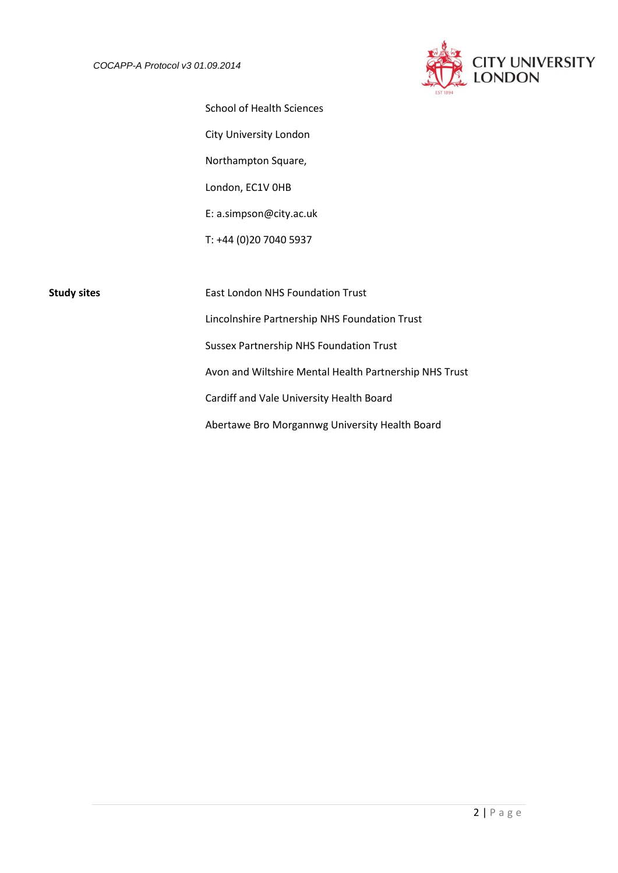

School of Health Sciences City University London Northampton Square, London, EC1V 0HB E: a.simpson@city.ac.uk T: +44 (0)20 7040 5937

**Study sites** East London NHS Foundation Trust Lincolnshire Partnership NHS Foundation Trust Sussex Partnership NHS Foundation Trust Avon and Wiltshire Mental Health Partnership NHS Trust Cardiff and Vale University Health Board Abertawe Bro Morgannwg University Health Board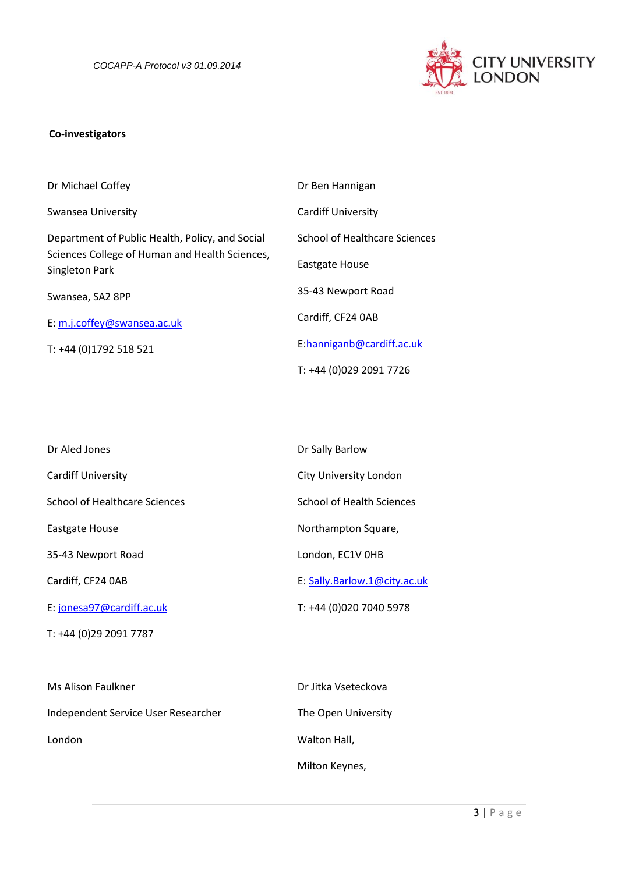

## **Co-investigators**

| Dr Michael Coffey                                                | Dr Ben Hannigan                      |
|------------------------------------------------------------------|--------------------------------------|
| Swansea University                                               | <b>Cardiff University</b>            |
| Department of Public Health, Policy, and Social                  | <b>School of Healthcare Sciences</b> |
| Sciences College of Human and Health Sciences,<br>Singleton Park | Eastgate House                       |
| Swansea, SA2 8PP                                                 | 35-43 Newport Road                   |
| E: m.j.coffey@swansea.ac.uk                                      | Cardiff, CF24 0AB                    |
| T: +44 (0)1792 518 521                                           | E:hanniganb@cardiff.ac.uk            |
|                                                                  | T: +44 (0)029 2091 7726              |

| Dr Aled Jones                 | Dr Sally Barlow                  |
|-------------------------------|----------------------------------|
| <b>Cardiff University</b>     | <b>City University London</b>    |
| School of Healthcare Sciences | <b>School of Health Sciences</b> |
| Eastgate House                | Northampton Square,              |
| 35-43 Newport Road            | London, EC1V OHB                 |
| Cardiff, CF24 OAB             | E: Sally.Barlow.1@city.ac.uk     |
| E: jonesa97@cardiff.ac.uk     | T: +44 (0)020 7040 5978          |
| T: +44 (0)29 2091 7787        |                                  |
|                               |                                  |

| Ms Alison Faulkner                  | Dr Jitka Vseteckova |
|-------------------------------------|---------------------|
| Independent Service User Researcher | The Open University |
| London                              | Walton Hall,        |
|                                     | Milton Keynes,      |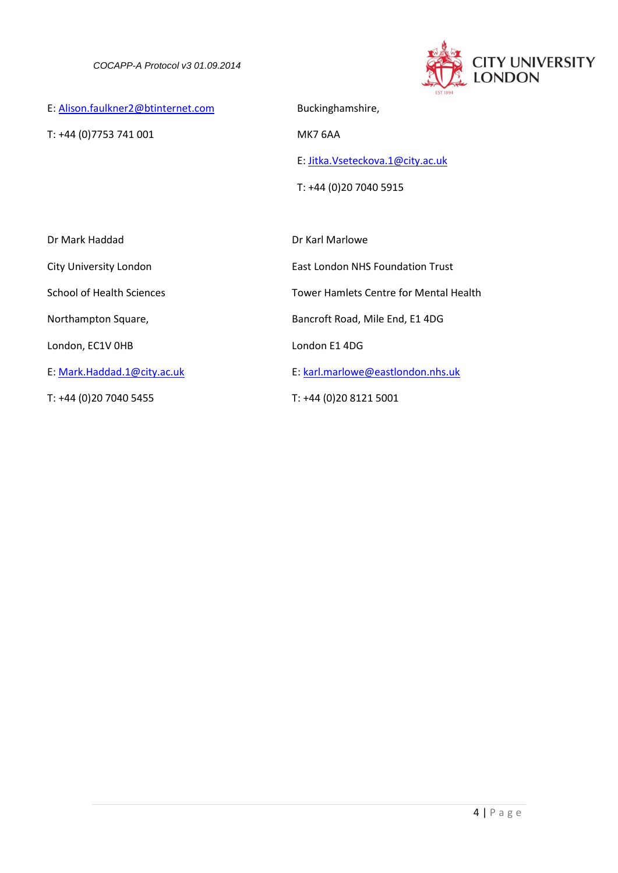

E: [Alison.faulkner2@btinternet.com](mailto:Alison.faulkner2@btinternet.com)

T: +44 (0)7753 741 001

Buckinghamshire,

MK7 6AA

E: [Jitka.Vseteckova.1@city.ac.uk](mailto:Jitka.Vseteckova.1@city.ac.uk)

T: +44 (0)20 7040 5915

| Dr Mark Haddad                   | Dr Karl Marlowe                         |
|----------------------------------|-----------------------------------------|
| City University London           | <b>Fast London NHS Foundation Trust</b> |
| <b>School of Health Sciences</b> | Tower Hamlets Centre for Mental Health  |
| Northampton Square,              | Bancroft Road, Mile End, E1 4DG         |
| London, EC1V OHB                 | London E1 4DG                           |
| E: Mark.Haddad.1@city.ac.uk      | E: karl.marlowe@eastlondon.nhs.uk       |
| T: +44 (0)20 7040 5455           | T: +44 (0)20 8121 5001                  |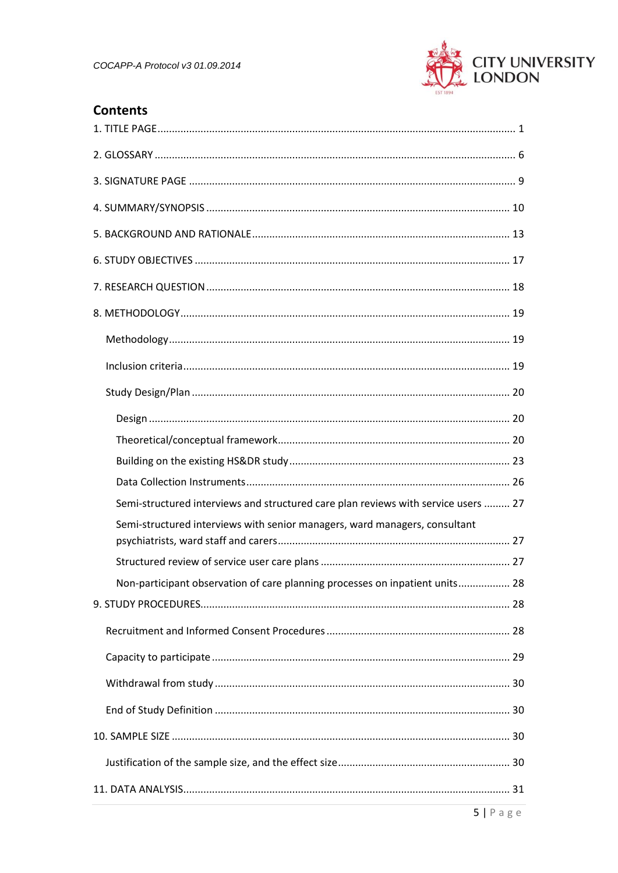

# **Contents**

| Semi-structured interviews and structured care plan reviews with service users  27 |
|------------------------------------------------------------------------------------|
| Semi-structured interviews with senior managers, ward managers, consultant         |
|                                                                                    |
| Non-participant observation of care planning processes on inpatient units 28       |
|                                                                                    |
|                                                                                    |
|                                                                                    |
|                                                                                    |
|                                                                                    |
|                                                                                    |
|                                                                                    |
|                                                                                    |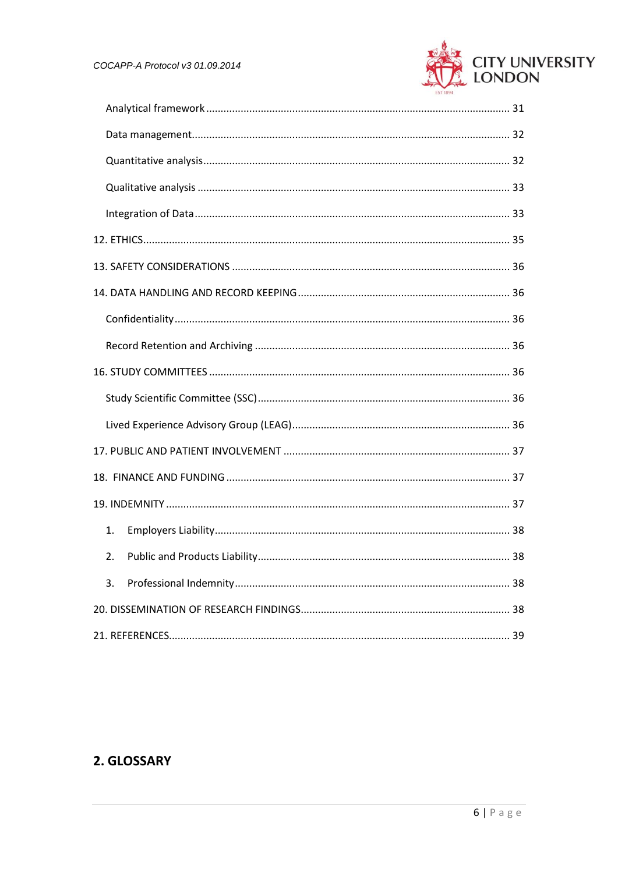

| 1. |  |  |
|----|--|--|
| 2. |  |  |
| 3. |  |  |
|    |  |  |
|    |  |  |

# <span id="page-5-0"></span>2. GLOSSARY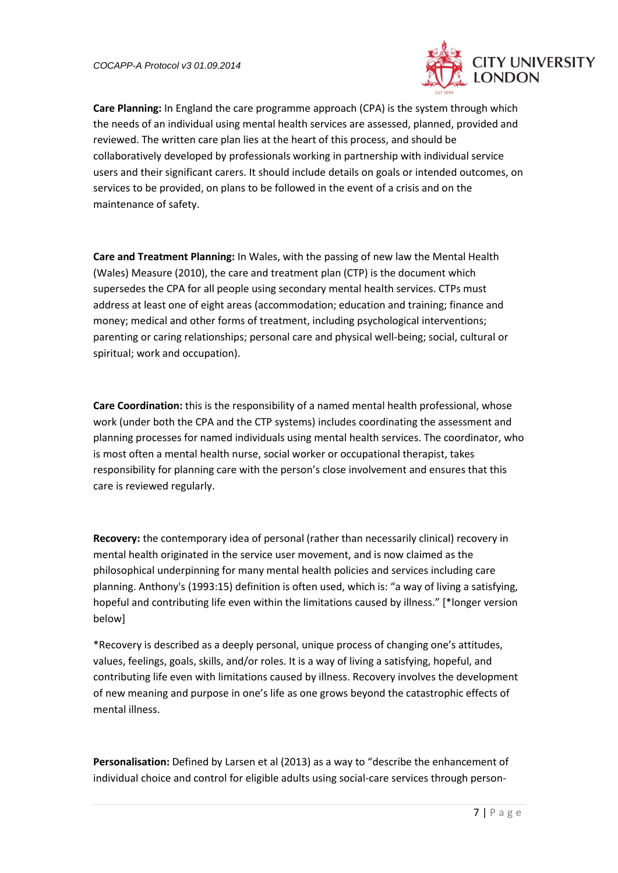

**Care Planning:** In England the care programme approach (CPA) is the system through which the needs of an individual using mental health services are assessed, planned, provided and reviewed. The written care plan lies at the heart of this process, and should be collaboratively developed by professionals working in partnership with individual service users and their significant carers. It should include details on goals or intended outcomes, on services to be provided, on plans to be followed in the event of a crisis and on the maintenance of safety.

**Care and Treatment Planning:** In Wales, with the passing of new law the Mental Health (Wales) Measure (2010), the care and treatment plan (CTP) is the document which supersedes the CPA for all people using secondary mental health services. CTPs must address at least one of eight areas (accommodation; education and training; finance and money; medical and other forms of treatment, including psychological interventions; parenting or caring relationships; personal care and physical well-being; social, cultural or spiritual; work and occupation).

**Care Coordination:** this is the responsibility of a named mental health professional, whose work (under both the CPA and the CTP systems) includes coordinating the assessment and planning processes for named individuals using mental health services. The coordinator, who is most often a mental health nurse, social worker or occupational therapist, takes responsibility for planning care with the person's close involvement and ensures that this care is reviewed regularly.

**Recovery:** the contemporary idea of personal (rather than necessarily clinical) recovery in mental health originated in the service user movement, and is now claimed as the philosophical underpinning for many mental health policies and services including care planning. Anthony's (1993:15) definition is often used, which is: "a way of living a satisfying, hopeful and contributing life even within the limitations caused by illness." [\*longer version below]

\*Recovery is described as a deeply personal, unique process of changing one's attitudes, values, feelings, goals, skills, and/or roles. It is a way of living a satisfying, hopeful, and contributing life even with limitations caused by illness. Recovery involves the development of new meaning and purpose in one's life as one grows beyond the catastrophic effects of mental illness.

**Personalisation:** Defined by Larsen et al (2013) as a way to "describe the enhancement of individual choice and control for eligible adults using social-care services through person-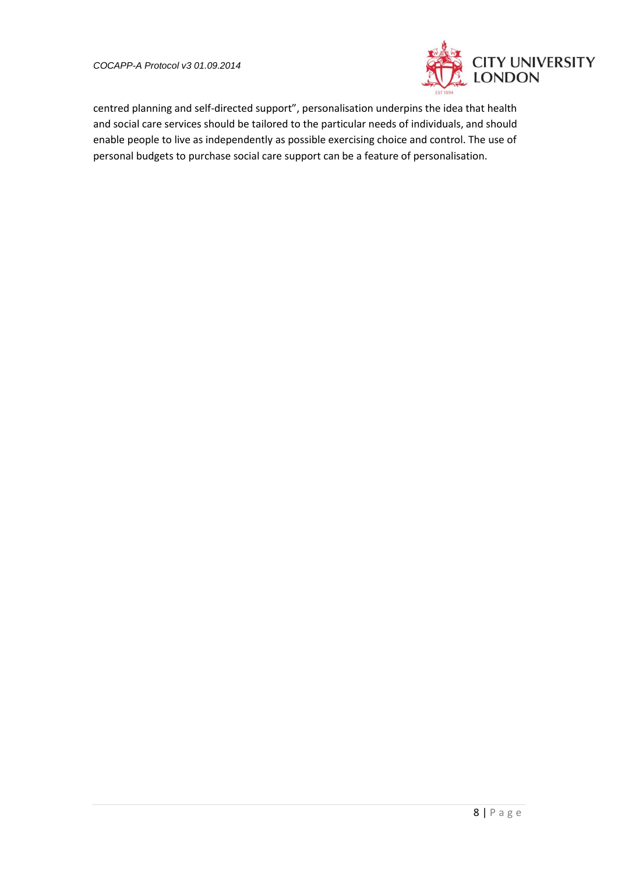

centred planning and self-directed support", personalisation underpins the idea that health and social care services should be tailored to the particular needs of individuals, and should enable people to live as independently as possible exercising choice and control. The use of personal budgets to purchase social care support can be a feature of personalisation.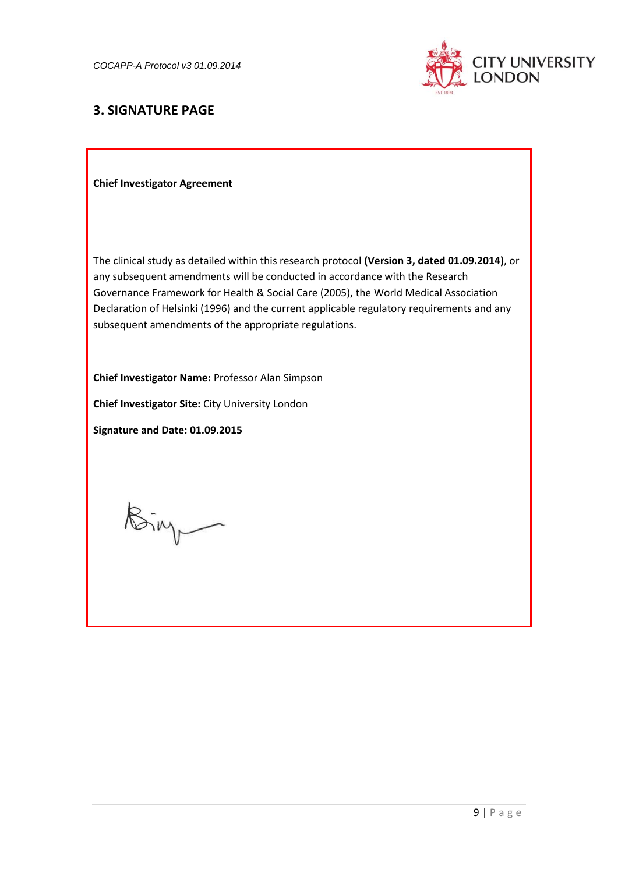

# <span id="page-8-0"></span>**3. SIGNATURE PAGE**

#### **Chief Investigator Agreement**

The clinical study as detailed within this research protocol **(Version 3, dated 01.09.2014)**, or any subsequent amendments will be conducted in accordance with the Research Governance Framework for Health & Social Care (2005), the World Medical Association Declaration of Helsinki (1996) and the current applicable regulatory requirements and any subsequent amendments of the appropriate regulations.

**Chief Investigator Name:** Professor Alan Simpson

**Chief Investigator Site:** City University London

**Signature and Date: 01.09.2015**

Bing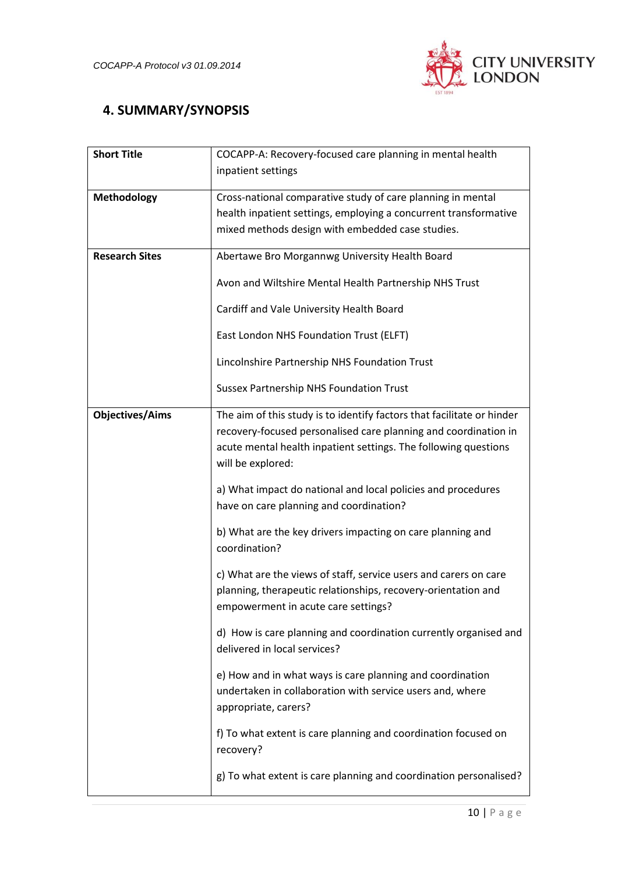

# <span id="page-9-0"></span> **4. SUMMARY/SYNOPSIS**

| <b>Short Title</b><br>COCAPP-A: Recovery-focused care planning in mental health<br>inpatient settings |                                                                                                                                                                                                                                   |  |
|-------------------------------------------------------------------------------------------------------|-----------------------------------------------------------------------------------------------------------------------------------------------------------------------------------------------------------------------------------|--|
|                                                                                                       |                                                                                                                                                                                                                                   |  |
| <b>Methodology</b>                                                                                    | Cross-national comparative study of care planning in mental<br>health inpatient settings, employing a concurrent transformative<br>mixed methods design with embedded case studies.                                               |  |
| <b>Research Sites</b>                                                                                 | Abertawe Bro Morgannwg University Health Board                                                                                                                                                                                    |  |
|                                                                                                       | Avon and Wiltshire Mental Health Partnership NHS Trust                                                                                                                                                                            |  |
|                                                                                                       | Cardiff and Vale University Health Board                                                                                                                                                                                          |  |
|                                                                                                       | East London NHS Foundation Trust (ELFT)                                                                                                                                                                                           |  |
|                                                                                                       | Lincolnshire Partnership NHS Foundation Trust                                                                                                                                                                                     |  |
|                                                                                                       | <b>Sussex Partnership NHS Foundation Trust</b>                                                                                                                                                                                    |  |
| <b>Objectives/Aims</b>                                                                                | The aim of this study is to identify factors that facilitate or hinder<br>recovery-focused personalised care planning and coordination in<br>acute mental health inpatient settings. The following questions<br>will be explored: |  |
|                                                                                                       | a) What impact do national and local policies and procedures<br>have on care planning and coordination?                                                                                                                           |  |
|                                                                                                       | b) What are the key drivers impacting on care planning and<br>coordination?                                                                                                                                                       |  |
|                                                                                                       | c) What are the views of staff, service users and carers on care<br>planning, therapeutic relationships, recovery-orientation and<br>empowerment in acute care settings?                                                          |  |
|                                                                                                       | d) How is care planning and coordination currently organised and<br>delivered in local services?                                                                                                                                  |  |
|                                                                                                       | e) How and in what ways is care planning and coordination<br>undertaken in collaboration with service users and, where<br>appropriate, carers?                                                                                    |  |
|                                                                                                       | f) To what extent is care planning and coordination focused on<br>recovery?                                                                                                                                                       |  |
|                                                                                                       | g) To what extent is care planning and coordination personalised?                                                                                                                                                                 |  |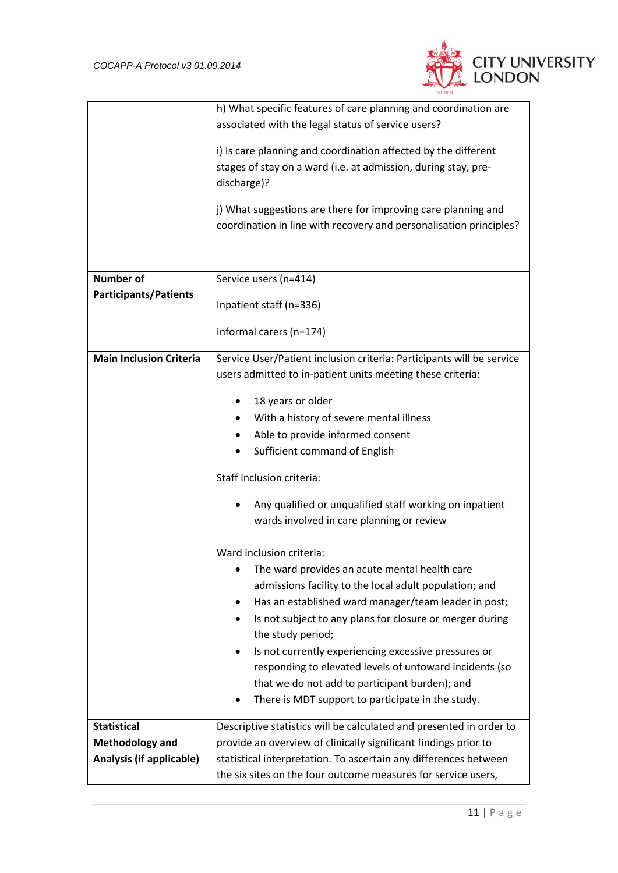

|                                | h) What specific features of care planning and coordination are       |  |
|--------------------------------|-----------------------------------------------------------------------|--|
|                                | associated with the legal status of service users?                    |  |
|                                | i) Is care planning and coordination affected by the different        |  |
|                                | stages of stay on a ward (i.e. at admission, during stay, pre-        |  |
|                                | discharge)?                                                           |  |
|                                | j) What suggestions are there for improving care planning and         |  |
|                                | coordination in line with recovery and personalisation principles?    |  |
|                                |                                                                       |  |
|                                |                                                                       |  |
| <b>Number of</b>               | Service users (n=414)                                                 |  |
| <b>Participants/Patients</b>   |                                                                       |  |
|                                | Inpatient staff (n=336)                                               |  |
|                                | Informal carers (n=174)                                               |  |
|                                |                                                                       |  |
| <b>Main Inclusion Criteria</b> | Service User/Patient inclusion criteria: Participants will be service |  |
|                                | users admitted to in-patient units meeting these criteria:            |  |
|                                | 18 years or older                                                     |  |
|                                |                                                                       |  |
|                                | With a history of severe mental illness                               |  |
|                                | Able to provide informed consent                                      |  |
|                                | Sufficient command of English                                         |  |
|                                | Staff inclusion criteria:                                             |  |
|                                | Any qualified or unqualified staff working on inpatient               |  |
|                                |                                                                       |  |
|                                | wards involved in care planning or review                             |  |
|                                | Ward inclusion criteria:                                              |  |
|                                | The ward provides an acute mental health care                         |  |
|                                | admissions facility to the local adult population; and                |  |
|                                | Has an established ward manager/team leader in post;                  |  |
|                                | Is not subject to any plans for closure or merger during<br>$\bullet$ |  |
|                                | the study period;                                                     |  |
|                                | Is not currently experiencing excessive pressures or                  |  |
|                                | responding to elevated levels of untoward incidents (so               |  |
|                                | that we do not add to participant burden); and                        |  |
|                                | There is MDT support to participate in the study.                     |  |
|                                |                                                                       |  |
| <b>Statistical</b>             | Descriptive statistics will be calculated and presented in order to   |  |
| <b>Methodology and</b>         | provide an overview of clinically significant findings prior to       |  |
| Analysis (if applicable)       | statistical interpretation. To ascertain any differences between      |  |
|                                | the six sites on the four outcome measures for service users,         |  |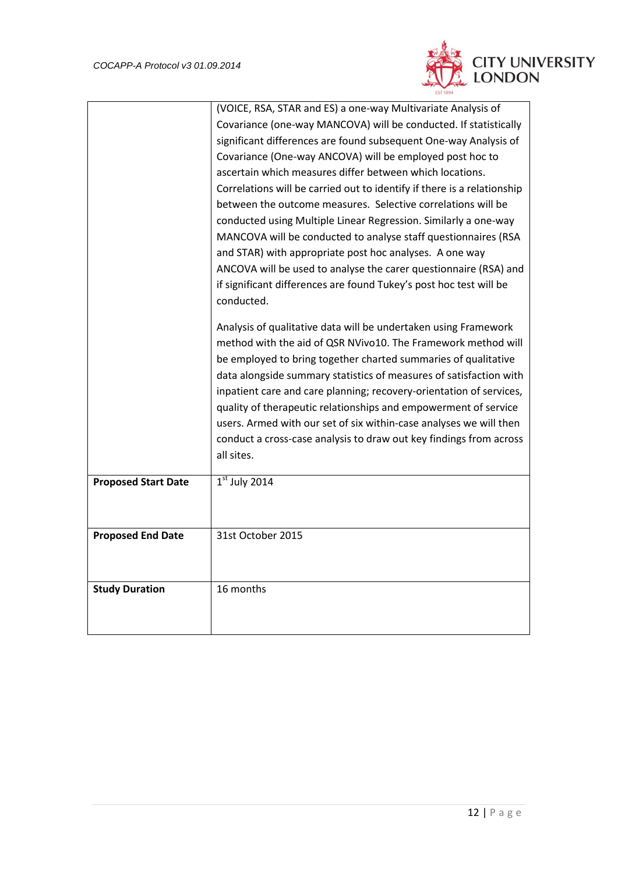

|                                                               | (VOICE, RSA, STAR and ES) a one-way Multivariate Analysis of            |
|---------------------------------------------------------------|-------------------------------------------------------------------------|
|                                                               | Covariance (one-way MANCOVA) will be conducted. If statistically        |
|                                                               | significant differences are found subsequent One-way Analysis of        |
|                                                               | Covariance (One-way ANCOVA) will be employed post hoc to                |
|                                                               | ascertain which measures differ between which locations.                |
|                                                               | Correlations will be carried out to identify if there is a relationship |
|                                                               | between the outcome measures. Selective correlations will be            |
|                                                               | conducted using Multiple Linear Regression. Similarly a one-way         |
|                                                               | MANCOVA will be conducted to analyse staff questionnaires (RSA          |
|                                                               | and STAR) with appropriate post hoc analyses. A one way                 |
|                                                               | ANCOVA will be used to analyse the carer questionnaire (RSA) and        |
|                                                               | if significant differences are found Tukey's post hoc test will be      |
|                                                               | conducted.                                                              |
|                                                               | Analysis of qualitative data will be undertaken using Framework         |
| method with the aid of QSR NVivo10. The Framework method will |                                                                         |
|                                                               | be employed to bring together charted summaries of qualitative          |
|                                                               | data alongside summary statistics of measures of satisfaction with      |
|                                                               | inpatient care and care planning; recovery-orientation of services,     |
|                                                               | quality of therapeutic relationships and empowerment of service         |
|                                                               | users. Armed with our set of six within-case analyses we will then      |
|                                                               | conduct a cross-case analysis to draw out key findings from across      |
|                                                               | all sites.                                                              |
| <b>Proposed Start Date</b>                                    | $1st$ July 2014                                                         |
|                                                               |                                                                         |
|                                                               |                                                                         |
| <b>Proposed End Date</b>                                      | 31st October 2015                                                       |
|                                                               |                                                                         |
|                                                               |                                                                         |
| <b>Study Duration</b>                                         | 16 months                                                               |
|                                                               |                                                                         |
|                                                               |                                                                         |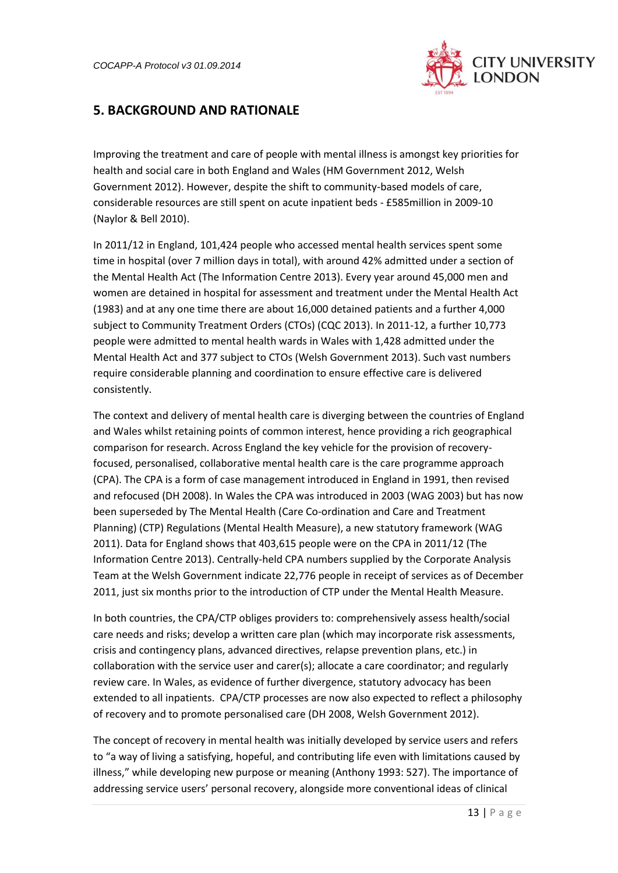

## <span id="page-12-0"></span>**5. BACKGROUND AND RATIONALE**

Improving the treatment and care of people with mental illness is amongst key priorities for health and social care in both England and Wales (HM Government 2012, Welsh Government 2012). However, despite the shift to community-based models of care, considerable resources are still spent on acute inpatient beds - £585million in 2009-10 (Naylor & Bell 2010).

In 2011/12 in England, 101,424 people who accessed mental health services spent some time in hospital (over 7 million days in total), with around 42% admitted under a section of the Mental Health Act (The Information Centre 2013). Every year around 45,000 men and women are detained in hospital for assessment and treatment under the Mental Health Act (1983) and at any one time there are about 16,000 detained patients and a further 4,000 subject to Community Treatment Orders (CTOs) (CQC 2013). In 2011-12, a further 10,773 people were admitted to mental health wards in Wales with 1,428 admitted under the Mental Health Act and 377 subject to CTOs (Welsh Government 2013). Such vast numbers require considerable planning and coordination to ensure effective care is delivered consistently.

The context and delivery of mental health care is diverging between the countries of England and Wales whilst retaining points of common interest, hence providing a rich geographical comparison for research. Across England the key vehicle for the provision of recoveryfocused, personalised, collaborative mental health care is the care programme approach (CPA). The CPA is a form of case management introduced in England in 1991, then revised and refocused (DH 2008). In Wales the CPA was introduced in 2003 (WAG 2003) but has now been superseded by The Mental Health (Care Co-ordination and Care and Treatment Planning) (CTP) Regulations (Mental Health Measure), a new statutory framework (WAG 2011). Data for England shows that 403,615 people were on the CPA in 2011/12 (The Information Centre 2013). Centrally-held CPA numbers supplied by the Corporate Analysis Team at the Welsh Government indicate 22,776 people in receipt of services as of December 2011, just six months prior to the introduction of CTP under the Mental Health Measure.

In both countries, the CPA/CTP obliges providers to: comprehensively assess health/social care needs and risks; develop a written care plan (which may incorporate risk assessments, crisis and contingency plans, advanced directives, relapse prevention plans, etc.) in collaboration with the service user and carer(s); allocate a care coordinator; and regularly review care. In Wales, as evidence of further divergence, statutory advocacy has been extended to all inpatients. CPA/CTP processes are now also expected to reflect a philosophy of recovery and to promote personalised care (DH 2008, Welsh Government 2012).

The concept of recovery in mental health was initially developed by service users and refers to "a way of living a satisfying, hopeful, and contributing life even with limitations caused by illness," while developing new purpose or meaning (Anthony 1993: 527). The importance of addressing service users' personal recovery, alongside more conventional ideas of clinical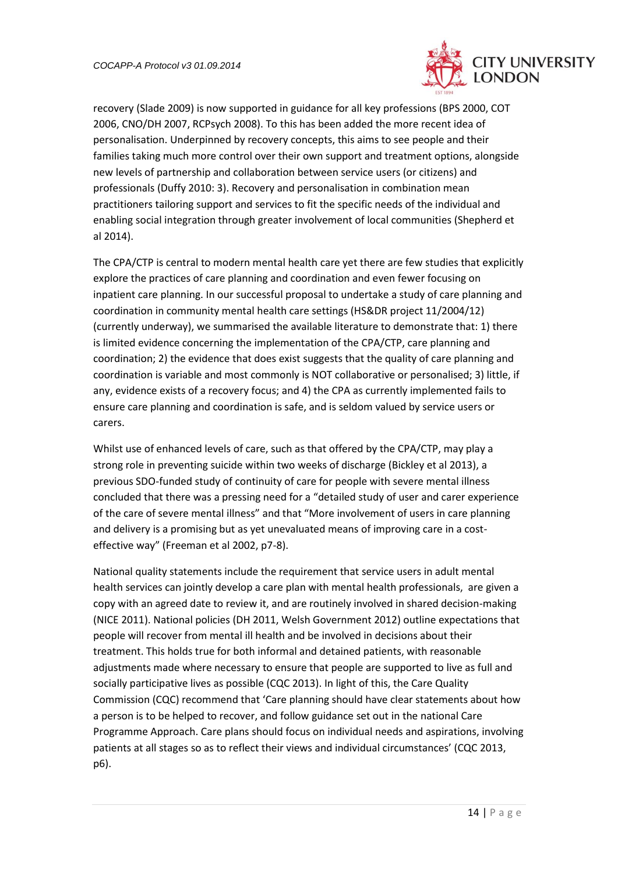

recovery (Slade 2009) is now supported in guidance for all key professions (BPS 2000, COT 2006, CNO/DH 2007, RCPsych 2008). To this has been added the more recent idea of personalisation. Underpinned by recovery concepts, this aims to see people and their families taking much more control over their own support and treatment options, alongside new levels of partnership and collaboration between service users (or citizens) and professionals (Duffy 2010: 3). Recovery and personalisation in combination mean practitioners tailoring support and services to fit the specific needs of the individual and enabling social integration through greater involvement of local communities (Shepherd et al 2014).

The CPA/CTP is central to modern mental health care yet there are few studies that explicitly explore the practices of care planning and coordination and even fewer focusing on inpatient care planning. In our successful proposal to undertake a study of care planning and coordination in community mental health care settings (HS&DR project 11/2004/12) (currently underway), we summarised the available literature to demonstrate that: 1) there is limited evidence concerning the implementation of the CPA/CTP, care planning and coordination; 2) the evidence that does exist suggests that the quality of care planning and coordination is variable and most commonly is NOT collaborative or personalised; 3) little, if any, evidence exists of a recovery focus; and 4) the CPA as currently implemented fails to ensure care planning and coordination is safe, and is seldom valued by service users or carers.

Whilst use of enhanced levels of care, such as that offered by the CPA/CTP, may play a strong role in preventing suicide within two weeks of discharge (Bickley et al 2013), a previous SDO-funded study of continuity of care for people with severe mental illness concluded that there was a pressing need for a "detailed study of user and carer experience of the care of severe mental illness" and that "More involvement of users in care planning and delivery is a promising but as yet unevaluated means of improving care in a costeffective way" (Freeman et al 2002, p7-8).

National quality statements include the requirement that service users in adult mental health services can jointly develop a care plan with mental health professionals, are given a copy with an agreed date to review it, and are routinely involved in shared decision-making (NICE 2011). National policies (DH 2011, Welsh Government 2012) outline expectations that people will recover from mental ill health and be involved in decisions about their treatment. This holds true for both informal and detained patients, with reasonable adjustments made where necessary to ensure that people are supported to live as full and socially participative lives as possible (CQC 2013). In light of this, the Care Quality Commission (CQC) recommend that 'Care planning should have clear statements about how a person is to be helped to recover, and follow guidance set out in the national Care Programme Approach. Care plans should focus on individual needs and aspirations, involving patients at all stages so as to reflect their views and individual circumstances' (CQC 2013, p6).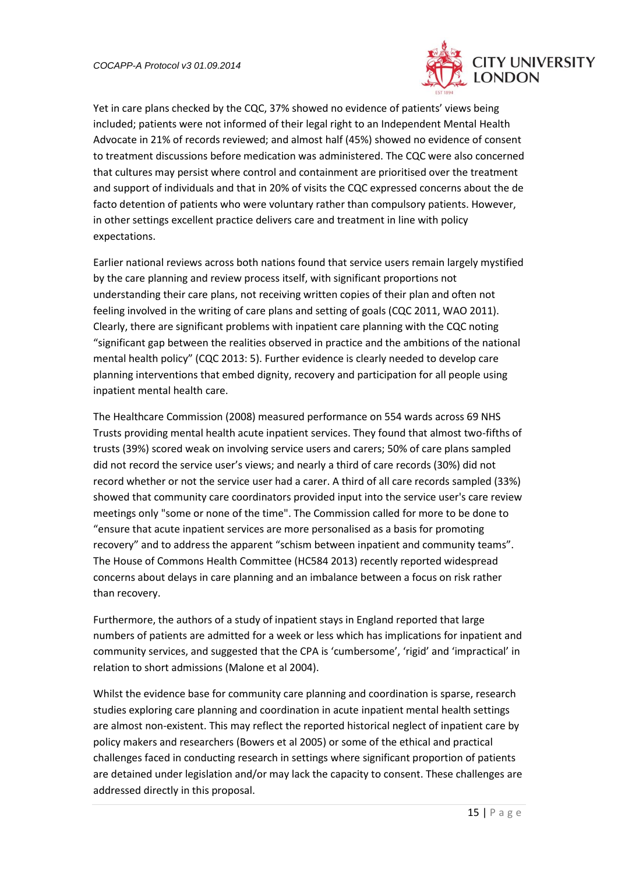

Yet in care plans checked by the CQC, 37% showed no evidence of patients' views being included; patients were not informed of their legal right to an Independent Mental Health Advocate in 21% of records reviewed; and almost half (45%) showed no evidence of consent to treatment discussions before medication was administered. The CQC were also concerned that cultures may persist where control and containment are prioritised over the treatment and support of individuals and that in 20% of visits the CQC expressed concerns about the de facto detention of patients who were voluntary rather than compulsory patients. However, in other settings excellent practice delivers care and treatment in line with policy expectations.

Earlier national reviews across both nations found that service users remain largely mystified by the care planning and review process itself, with significant proportions not understanding their care plans, not receiving written copies of their plan and often not feeling involved in the writing of care plans and setting of goals (CQC 2011, WAO 2011). Clearly, there are significant problems with inpatient care planning with the CQC noting "significant gap between the realities observed in practice and the ambitions of the national mental health policy" (CQC 2013: 5). Further evidence is clearly needed to develop care planning interventions that embed dignity, recovery and participation for all people using inpatient mental health care.

The Healthcare Commission (2008) measured performance on 554 wards across 69 NHS Trusts providing mental health acute inpatient services. They found that almost two-fifths of trusts (39%) scored weak on involving service users and carers; 50% of care plans sampled did not record the service user's views; and nearly a third of care records (30%) did not record whether or not the service user had a carer. A third of all care records sampled (33%) showed that community care coordinators provided input into the service user's care review meetings only "some or none of the time". The Commission called for more to be done to "ensure that acute inpatient services are more personalised as a basis for promoting recovery" and to address the apparent "schism between inpatient and community teams". The House of Commons Health Committee (HC584 2013) recently reported widespread concerns about delays in care planning and an imbalance between a focus on risk rather than recovery.

Furthermore, the authors of a study of inpatient stays in England reported that large numbers of patients are admitted for a week or less which has implications for inpatient and community services, and suggested that the CPA is 'cumbersome', 'rigid' and 'impractical' in relation to short admissions (Malone et al 2004).

Whilst the evidence base for community care planning and coordination is sparse, research studies exploring care planning and coordination in acute inpatient mental health settings are almost non-existent. This may reflect the reported historical neglect of inpatient care by policy makers and researchers (Bowers et al 2005) or some of the ethical and practical challenges faced in conducting research in settings where significant proportion of patients are detained under legislation and/or may lack the capacity to consent. These challenges are addressed directly in this proposal.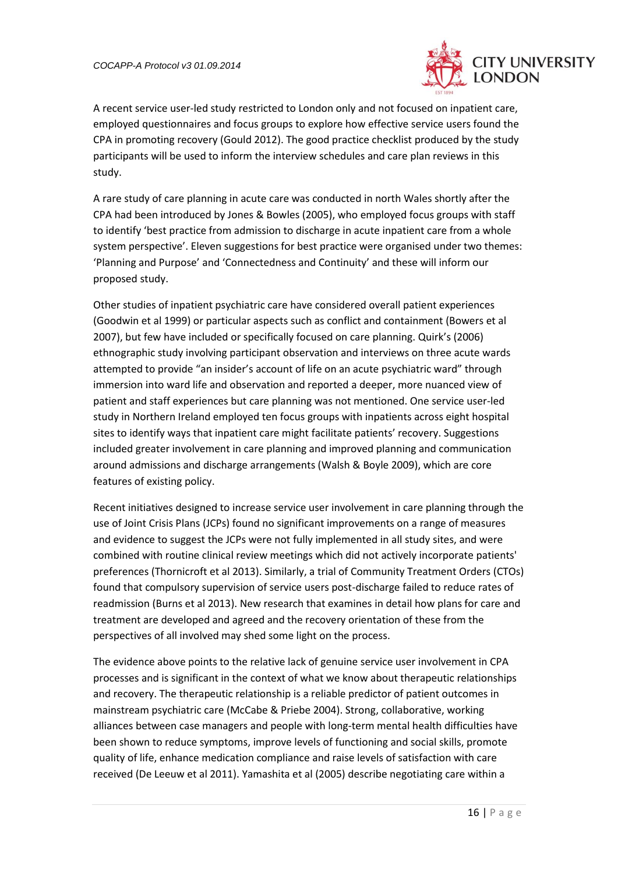

A recent service user-led study restricted to London only and not focused on inpatient care, employed questionnaires and focus groups to explore how effective service users found the CPA in promoting recovery (Gould 2012). The good practice checklist produced by the study participants will be used to inform the interview schedules and care plan reviews in this study.

A rare study of care planning in acute care was conducted in north Wales shortly after the CPA had been introduced by Jones & Bowles (2005), who employed focus groups with staff to identify 'best practice from admission to discharge in acute inpatient care from a whole system perspective'. Eleven suggestions for best practice were organised under two themes: 'Planning and Purpose' and 'Connectedness and Continuity' and these will inform our proposed study.

Other studies of inpatient psychiatric care have considered overall patient experiences (Goodwin et al 1999) or particular aspects such as conflict and containment (Bowers et al 2007), but few have included or specifically focused on care planning. Quirk's (2006) ethnographic study involving participant observation and interviews on three acute wards attempted to provide "an insider's account of life on an acute psychiatric ward" through immersion into ward life and observation and reported a deeper, more nuanced view of patient and staff experiences but care planning was not mentioned. One service user-led study in Northern Ireland employed ten focus groups with inpatients across eight hospital sites to identify ways that inpatient care might facilitate patients' recovery. Suggestions included greater involvement in care planning and improved planning and communication around admissions and discharge arrangements (Walsh & Boyle 2009), which are core features of existing policy.

Recent initiatives designed to increase service user involvement in care planning through the use of Joint Crisis Plans (JCPs) found no significant improvements on a range of measures and evidence to suggest the JCPs were not fully implemented in all study sites, and were combined with routine clinical review meetings which did not actively incorporate patients' preferences (Thornicroft et al 2013). Similarly, a trial of Community Treatment Orders (CTOs) found that compulsory supervision of service users post-discharge failed to reduce rates of readmission (Burns et al 2013). New research that examines in detail how plans for care and treatment are developed and agreed and the recovery orientation of these from the perspectives of all involved may shed some light on the process.

The evidence above points to the relative lack of genuine service user involvement in CPA processes and is significant in the context of what we know about therapeutic relationships and recovery. The therapeutic relationship is a reliable predictor of patient outcomes in mainstream psychiatric care (McCabe & Priebe 2004). Strong, collaborative, working alliances between case managers and people with long-term mental health difficulties have been shown to reduce symptoms, improve levels of functioning and social skills, promote quality of life, enhance medication compliance and raise levels of satisfaction with care received (De Leeuw et al 2011). Yamashita et al (2005) describe negotiating care within a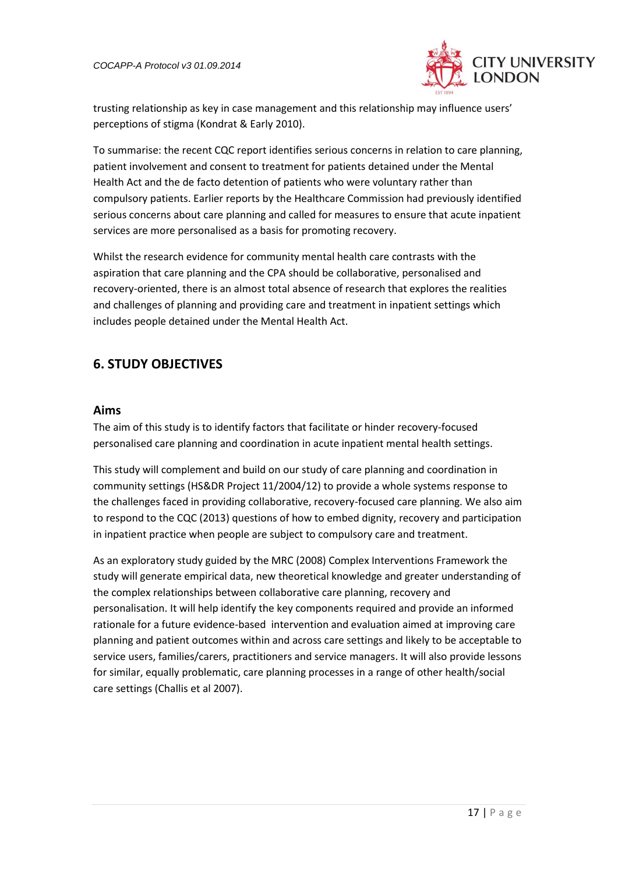

trusting relationship as key in case management and this relationship may influence users' perceptions of stigma (Kondrat & Early 2010).

To summarise: the recent CQC report identifies serious concerns in relation to care planning, patient involvement and consent to treatment for patients detained under the Mental Health Act and the de facto detention of patients who were voluntary rather than compulsory patients. Earlier reports by the Healthcare Commission had previously identified serious concerns about care planning and called for measures to ensure that acute inpatient services are more personalised as a basis for promoting recovery.

Whilst the research evidence for community mental health care contrasts with the aspiration that care planning and the CPA should be collaborative, personalised and recovery-oriented, there is an almost total absence of research that explores the realities and challenges of planning and providing care and treatment in inpatient settings which includes people detained under the Mental Health Act.

## <span id="page-16-0"></span>**6. STUDY OBJECTIVES**

### **Aims**

The aim of this study is to identify factors that facilitate or hinder recovery-focused personalised care planning and coordination in acute inpatient mental health settings.

This study will complement and build on our study of care planning and coordination in community settings (HS&DR Project 11/2004/12) to provide a whole systems response to the challenges faced in providing collaborative, recovery-focused care planning. We also aim to respond to the CQC (2013) questions of how to embed dignity, recovery and participation in inpatient practice when people are subject to compulsory care and treatment.

As an exploratory study guided by the MRC (2008) Complex Interventions Framework the study will generate empirical data, new theoretical knowledge and greater understanding of the complex relationships between collaborative care planning, recovery and personalisation. It will help identify the key components required and provide an informed rationale for a future evidence-based intervention and evaluation aimed at improving care planning and patient outcomes within and across care settings and likely to be acceptable to service users, families/carers, practitioners and service managers. It will also provide lessons for similar, equally problematic, care planning processes in a range of other health/social care settings (Challis et al 2007).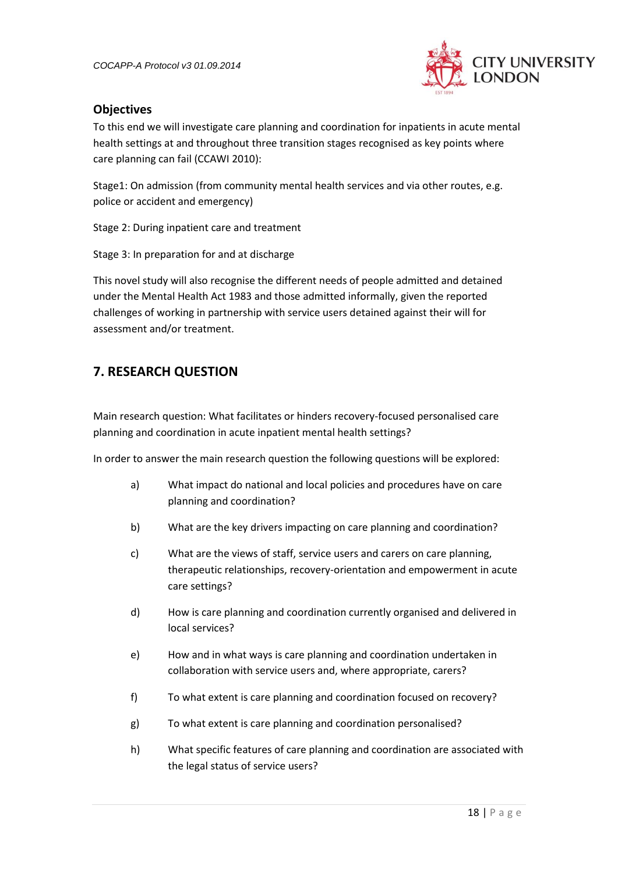

## **Objectives**

To this end we will investigate care planning and coordination for inpatients in acute mental health settings at and throughout three transition stages recognised as key points where care planning can fail (CCAWI 2010):

Stage1: On admission (from community mental health services and via other routes, e.g. police or accident and emergency)

Stage 2: During inpatient care and treatment

Stage 3: In preparation for and at discharge

This novel study will also recognise the different needs of people admitted and detained under the Mental Health Act 1983 and those admitted informally, given the reported challenges of working in partnership with service users detained against their will for assessment and/or treatment.

## <span id="page-17-0"></span>**7. RESEARCH QUESTION**

Main research question: What facilitates or hinders recovery-focused personalised care planning and coordination in acute inpatient mental health settings?

In order to answer the main research question the following questions will be explored:

- a) What impact do national and local policies and procedures have on care planning and coordination?
- b) What are the key drivers impacting on care planning and coordination?
- c) What are the views of staff, service users and carers on care planning, therapeutic relationships, recovery-orientation and empowerment in acute care settings?
- d) How is care planning and coordination currently organised and delivered in local services?
- e) How and in what ways is care planning and coordination undertaken in collaboration with service users and, where appropriate, carers?
- f) To what extent is care planning and coordination focused on recovery?
- g) To what extent is care planning and coordination personalised?
- h) What specific features of care planning and coordination are associated with the legal status of service users?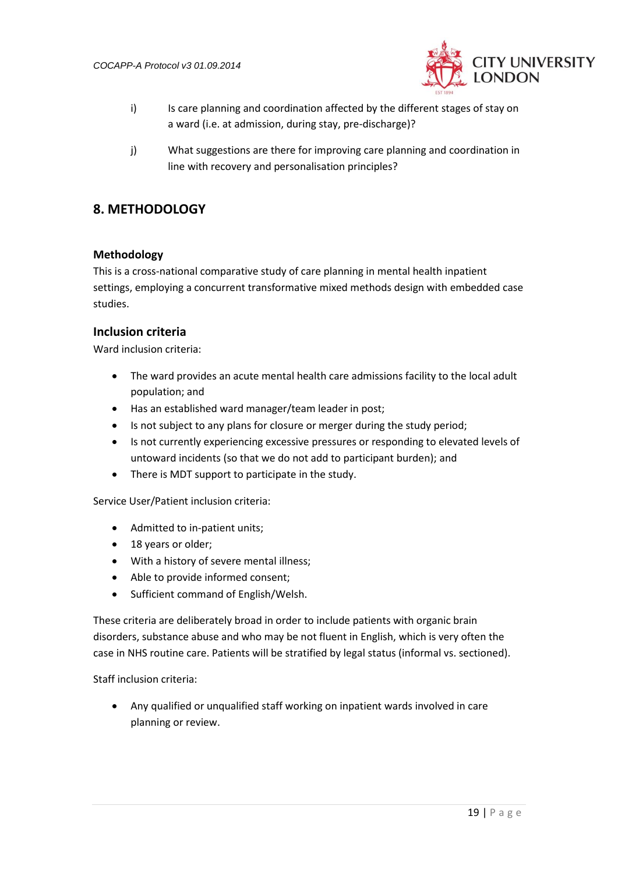

- i) Is care planning and coordination affected by the different stages of stay on a ward (i.e. at admission, during stay, pre-discharge)?
- j) What suggestions are there for improving care planning and coordination in line with recovery and personalisation principles?

## <span id="page-18-0"></span>**8. METHODOLOGY**

### <span id="page-18-1"></span>**Methodology**

This is a cross-national comparative study of care planning in mental health inpatient settings, employing a concurrent transformative mixed methods design with embedded case studies.

### <span id="page-18-2"></span>**Inclusion criteria**

Ward inclusion criteria:

- The ward provides an acute mental health care admissions facility to the local adult population; and
- Has an established ward manager/team leader in post;
- Is not subject to any plans for closure or merger during the study period;
- Is not currently experiencing excessive pressures or responding to elevated levels of untoward incidents (so that we do not add to participant burden); and
- There is MDT support to participate in the study.

Service User/Patient inclusion criteria:

- Admitted to in-patient units;
- 18 years or older;
- With a history of severe mental illness;
- Able to provide informed consent;
- Sufficient command of English/Welsh.

These criteria are deliberately broad in order to include patients with organic brain disorders, substance abuse and who may be not fluent in English, which is very often the case in NHS routine care. Patients will be stratified by legal status (informal vs. sectioned).

Staff inclusion criteria:

<span id="page-18-3"></span> Any qualified or unqualified staff working on inpatient wards involved in care planning or review.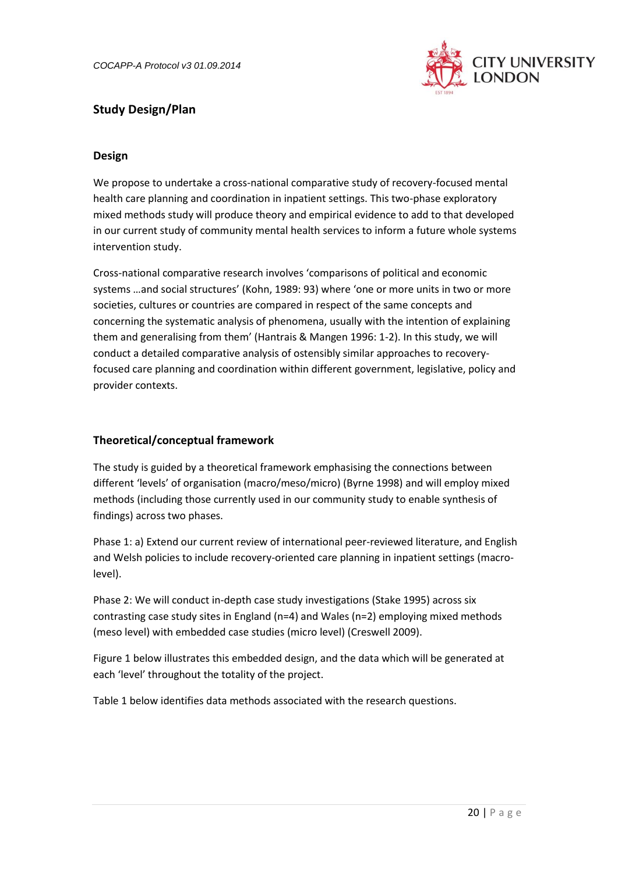

## <span id="page-19-0"></span>**Study Design/Plan**

### **Design**

We propose to undertake a cross-national comparative study of recovery-focused mental health care planning and coordination in inpatient settings. This two-phase exploratory mixed methods study will produce theory and empirical evidence to add to that developed in our current study of community mental health services to inform a future whole systems intervention study.

Cross-national comparative research involves 'comparisons of political and economic systems …and social structures' (Kohn, 1989: 93) where 'one or more units in two or more societies, cultures or countries are compared in respect of the same concepts and concerning the systematic analysis of phenomena, usually with the intention of explaining them and generalising from them' (Hantrais & Mangen 1996: 1-2). In this study, we will conduct a detailed comparative analysis of ostensibly similar approaches to recoveryfocused care planning and coordination within different government, legislative, policy and provider contexts.

### <span id="page-19-1"></span>**Theoretical/conceptual framework**

The study is guided by a theoretical framework emphasising the connections between different 'levels' of organisation (macro/meso/micro) (Byrne 1998) and will employ mixed methods (including those currently used in our community study to enable synthesis of findings) across two phases.

Phase 1: a) Extend our current review of international peer-reviewed literature, and English and Welsh policies to include recovery-oriented care planning in inpatient settings (macrolevel).

Phase 2: We will conduct in-depth case study investigations (Stake 1995) across six contrasting case study sites in England (n=4) and Wales (n=2) employing mixed methods (meso level) with embedded case studies (micro level) (Creswell 2009).

Figure 1 below illustrates this embedded design, and the data which will be generated at each 'level' throughout the totality of the project.

Table 1 below identifies data methods associated with the research questions.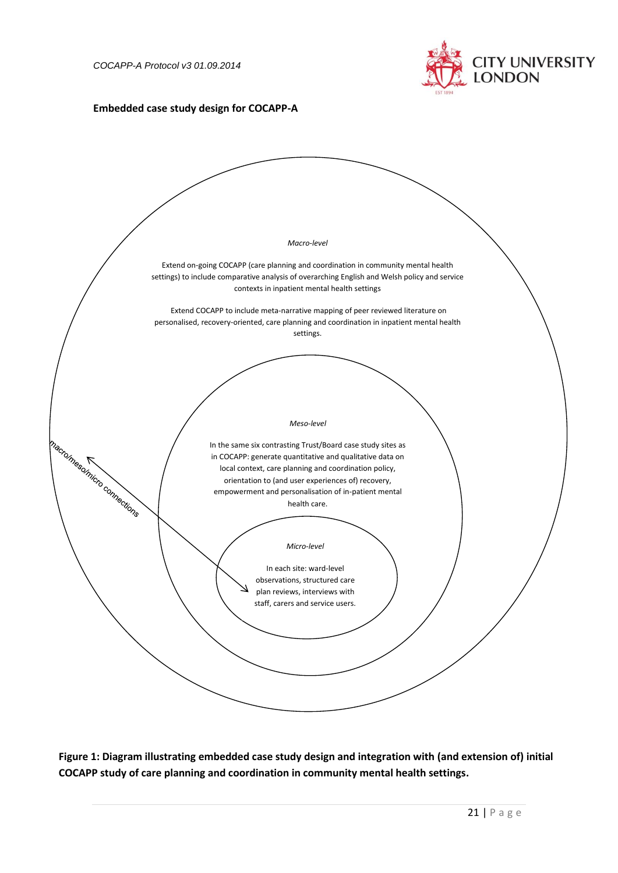

### **Embedded case study design for COCAPP-A**



**Figure 1: Diagram illustrating embedded case study design and integration with (and extension of) initial COCAPP study of care planning and coordination in community mental health settings.**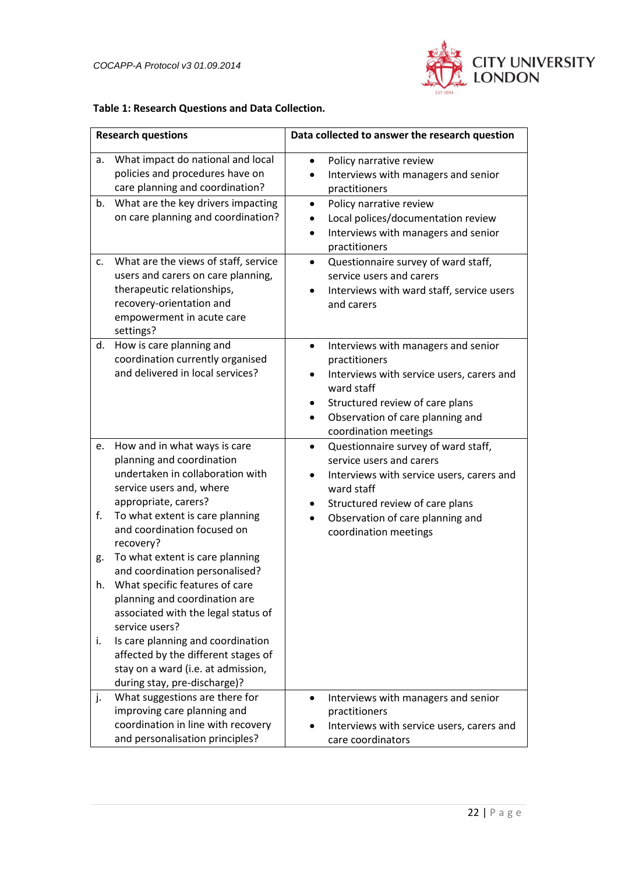

### **Table 1: Research Questions and Data Collection.**

<span id="page-21-0"></span>

| <b>Research questions</b> |                                                                                                                                                                                                                                  | Data collected to answer the research question                                                                                                                                                                                                                         |
|---------------------------|----------------------------------------------------------------------------------------------------------------------------------------------------------------------------------------------------------------------------------|------------------------------------------------------------------------------------------------------------------------------------------------------------------------------------------------------------------------------------------------------------------------|
| а.                        | What impact do national and local<br>policies and procedures have on<br>care planning and coordination?                                                                                                                          | Policy narrative review<br>$\bullet$<br>Interviews with managers and senior<br>practitioners                                                                                                                                                                           |
| b.<br>c.                  | What are the key drivers impacting<br>on care planning and coordination?<br>What are the views of staff, service                                                                                                                 | Policy narrative review<br>$\bullet$<br>Local polices/documentation review<br>Interviews with managers and senior<br>practitioners<br>Questionnaire survey of ward staff,<br>$\bullet$                                                                                 |
|                           | users and carers on care planning,<br>therapeutic relationships,<br>recovery-orientation and<br>empowerment in acute care<br>settings?                                                                                           | service users and carers<br>Interviews with ward staff, service users<br>and carers                                                                                                                                                                                    |
| d.                        | How is care planning and<br>coordination currently organised<br>and delivered in local services?                                                                                                                                 | Interviews with managers and senior<br>$\bullet$<br>practitioners<br>Interviews with service users, carers and<br>ward staff<br>Structured review of care plans<br>٠<br>Observation of care planning and<br>$\bullet$<br>coordination meetings                         |
| e.<br>f.                  | How and in what ways is care<br>planning and coordination<br>undertaken in collaboration with<br>service users and, where<br>appropriate, carers?<br>To what extent is care planning<br>and coordination focused on<br>recovery? | Questionnaire survey of ward staff,<br>$\bullet$<br>service users and carers<br>Interviews with service users, carers and<br>$\bullet$<br>ward staff<br>Structured review of care plans<br>٠<br>Observation of care planning and<br>$\bullet$<br>coordination meetings |
| g.                        | To what extent is care planning<br>and coordination personalised?                                                                                                                                                                |                                                                                                                                                                                                                                                                        |
| h.                        | What specific features of care<br>planning and coordination are<br>associated with the legal status of<br>service users?                                                                                                         |                                                                                                                                                                                                                                                                        |
| İ.                        | Is care planning and coordination<br>affected by the different stages of<br>stay on a ward (i.e. at admission,<br>during stay, pre-discharge)?                                                                                   |                                                                                                                                                                                                                                                                        |
| j.                        | What suggestions are there for<br>improving care planning and<br>coordination in line with recovery<br>and personalisation principles?                                                                                           | Interviews with managers and senior<br>practitioners<br>Interviews with service users, carers and<br>care coordinators                                                                                                                                                 |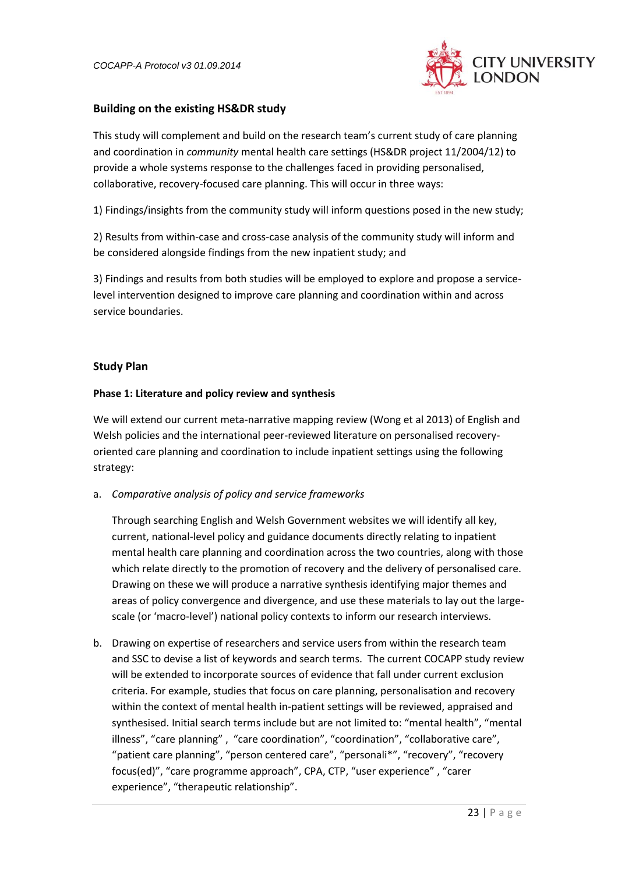

### **Building on the existing HS&DR study**

This study will complement and build on the research team's current study of care planning and coordination in *community* mental health care settings (HS&DR project 11/2004/12) to provide a whole systems response to the challenges faced in providing personalised, collaborative, recovery-focused care planning. This will occur in three ways:

1) Findings/insights from the community study will inform questions posed in the new study;

2) Results from within-case and cross-case analysis of the community study will inform and be considered alongside findings from the new inpatient study; and

3) Findings and results from both studies will be employed to explore and propose a servicelevel intervention designed to improve care planning and coordination within and across service boundaries.

### **Study Plan**

#### **Phase 1: Literature and policy review and synthesis**

We will extend our current meta-narrative mapping review (Wong et al 2013) of English and Welsh policies and the international peer-reviewed literature on personalised recoveryoriented care planning and coordination to include inpatient settings using the following strategy:

a. *Comparative analysis of policy and service frameworks* 

Through searching English and Welsh Government websites we will identify all key, current, national-level policy and guidance documents directly relating to inpatient mental health care planning and coordination across the two countries, along with those which relate directly to the promotion of recovery and the delivery of personalised care. Drawing on these we will produce a narrative synthesis identifying major themes and areas of policy convergence and divergence, and use these materials to lay out the largescale (or 'macro-level') national policy contexts to inform our research interviews.

b. Drawing on expertise of researchers and service users from within the research team and SSC to devise a list of keywords and search terms. The current COCAPP study review will be extended to incorporate sources of evidence that fall under current exclusion criteria. For example, studies that focus on care planning, personalisation and recovery within the context of mental health in-patient settings will be reviewed, appraised and synthesised. Initial search terms include but are not limited to: "mental health", "mental illness", "care planning" , "care coordination", "coordination", "collaborative care", "patient care planning", "person centered care", "personali\*", "recovery", "recovery focus(ed)", "care programme approach", CPA, CTP, "user experience" , "carer experience", "therapeutic relationship".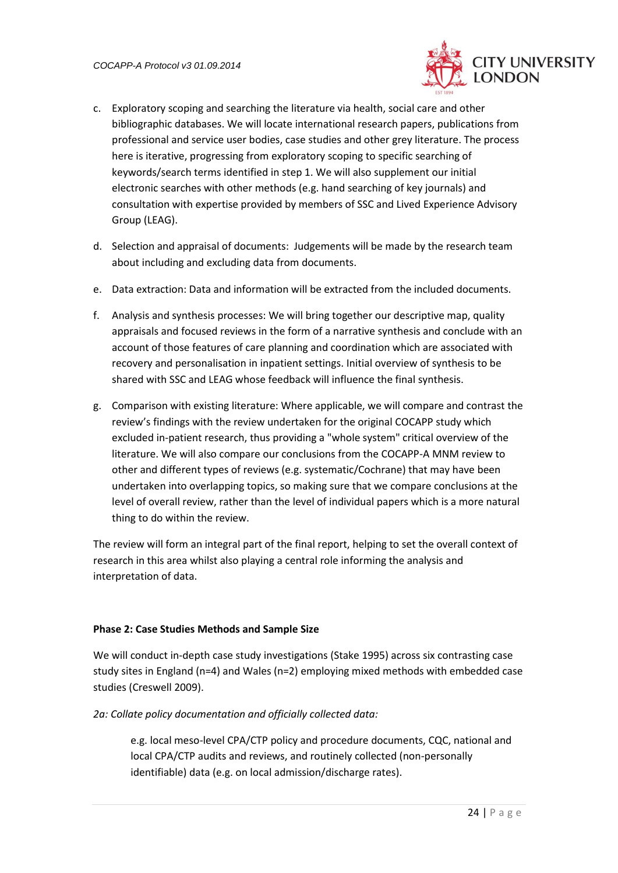

- c. Exploratory scoping and searching the literature via health, social care and other bibliographic databases. We will locate international research papers, publications from professional and service user bodies, case studies and other grey literature. The process here is iterative, progressing from exploratory scoping to specific searching of keywords/search terms identified in step 1. We will also supplement our initial electronic searches with other methods (e.g. hand searching of key journals) and consultation with expertise provided by members of SSC and Lived Experience Advisory Group (LEAG).
- d. Selection and appraisal of documents: Judgements will be made by the research team about including and excluding data from documents.
- e. Data extraction: Data and information will be extracted from the included documents.
- f. Analysis and synthesis processes: We will bring together our descriptive map, quality appraisals and focused reviews in the form of a narrative synthesis and conclude with an account of those features of care planning and coordination which are associated with recovery and personalisation in inpatient settings. Initial overview of synthesis to be shared with SSC and LEAG whose feedback will influence the final synthesis.
- g. Comparison with existing literature: Where applicable, we will compare and contrast the review's findings with the review undertaken for the original COCAPP study which excluded in-patient research, thus providing a "whole system" critical overview of the literature. We will also compare our conclusions from the COCAPP-A MNM review to other and different types of reviews (e.g. systematic/Cochrane) that may have been undertaken into overlapping topics, so making sure that we compare conclusions at the level of overall review, rather than the level of individual papers which is a more natural thing to do within the review.

The review will form an integral part of the final report, helping to set the overall context of research in this area whilst also playing a central role informing the analysis and interpretation of data.

#### **Phase 2: Case Studies Methods and Sample Size**

We will conduct in-depth case study investigations (Stake 1995) across six contrasting case study sites in England (n=4) and Wales (n=2) employing mixed methods with embedded case studies (Creswell 2009).

*2a: Collate policy documentation and officially collected data:*

e.g. local meso-level CPA/CTP policy and procedure documents, CQC, national and local CPA/CTP audits and reviews, and routinely collected (non-personally identifiable) data (e.g. on local admission/discharge rates).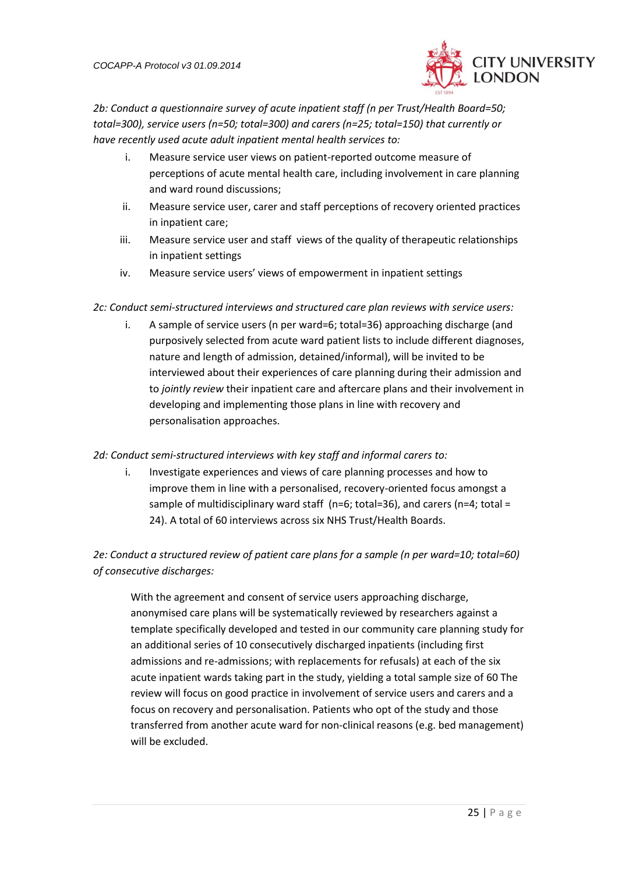

*2b: Conduct a questionnaire survey of acute inpatient staff (n per Trust/Health Board=50; total=300), service users (n=50; total=300) and carers (n=25; total=150) that currently or have recently used acute adult inpatient mental health services to:*

- i. Measure service user views on patient-reported outcome measure of perceptions of acute mental health care, including involvement in care planning and ward round discussions;
- ii. Measure service user, carer and staff perceptions of recovery oriented practices in inpatient care;
- iii. Measure service user and staff views of the quality of therapeutic relationships in inpatient settings
- iv. Measure service users' views of empowerment in inpatient settings
- *2c: Conduct semi-structured interviews and structured care plan reviews with service users:*
	- i. A sample of service users (n per ward=6; total=36) approaching discharge (and purposively selected from acute ward patient lists to include different diagnoses, nature and length of admission, detained/informal), will be invited to be interviewed about their experiences of care planning during their admission and to *jointly review* their inpatient care and aftercare plans and their involvement in developing and implementing those plans in line with recovery and personalisation approaches.

### *2d: Conduct semi-structured interviews with key staff and informal carers to:*

i. Investigate experiences and views of care planning processes and how to improve them in line with a personalised, recovery-oriented focus amongst a sample of multidisciplinary ward staff (n=6; total=36), and carers (n=4; total = 24). A total of 60 interviews across six NHS Trust/Health Boards.

*2e: Conduct a structured review of patient care plans for a sample (n per ward=10; total=60) of consecutive discharges:* 

With the agreement and consent of service users approaching discharge, anonymised care plans will be systematically reviewed by researchers against a template specifically developed and tested in our community care planning study for an additional series of 10 consecutively discharged inpatients (including first admissions and re-admissions; with replacements for refusals) at each of the six acute inpatient wards taking part in the study, yielding a total sample size of 60 The review will focus on good practice in involvement of service users and carers and a focus on recovery and personalisation. Patients who opt of the study and those transferred from another acute ward for non-clinical reasons (e.g. bed management) will be excluded.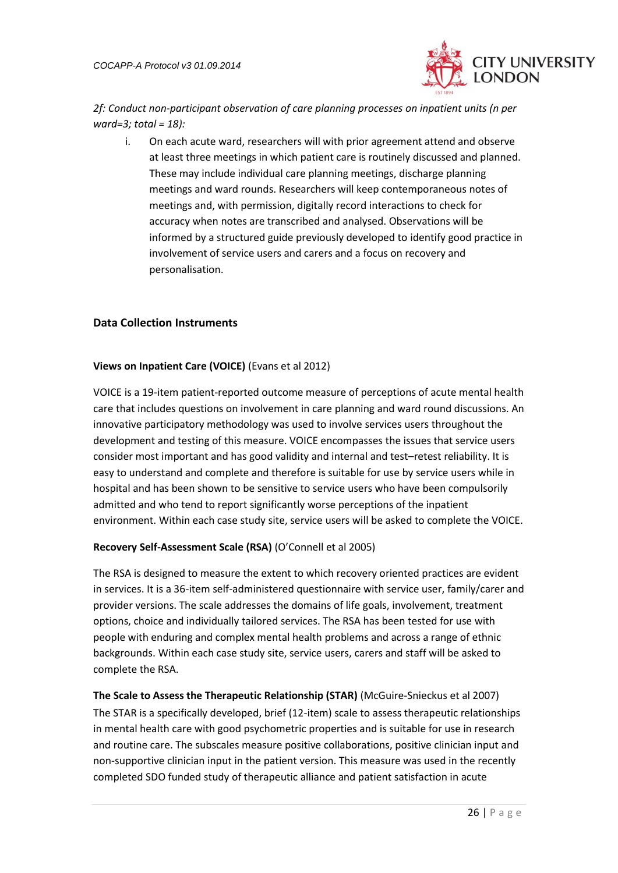

*2f: Conduct non-participant observation of care planning processes on inpatient units (n per ward=3; total = 18):*

i. On each acute ward, researchers will with prior agreement attend and observe at least three meetings in which patient care is routinely discussed and planned. These may include individual care planning meetings, discharge planning meetings and ward rounds. Researchers will keep contemporaneous notes of meetings and, with permission, digitally record interactions to check for accuracy when notes are transcribed and analysed. Observations will be informed by a structured guide previously developed to identify good practice in involvement of service users and carers and a focus on recovery and personalisation.

### <span id="page-25-0"></span>**Data Collection Instruments**

### **Views on Inpatient Care (VOICE)** (Evans et al 2012)

VOICE is a 19-item patient-reported outcome measure of perceptions of acute mental health care that includes questions on involvement in care planning and ward round discussions. An innovative participatory methodology was used to involve services users throughout the development and testing of this measure. VOICE encompasses the issues that service users consider most important and has good validity and internal and test–retest reliability. It is easy to understand and complete and therefore is suitable for use by service users while in hospital and has been shown to be sensitive to service users who have been compulsorily admitted and who tend to report significantly worse perceptions of the inpatient environment. Within each case study site, service users will be asked to complete the VOICE.

### **Recovery Self-Assessment Scale (RSA)** (O'Connell et al 2005)

The RSA is designed to measure the extent to which recovery oriented practices are evident in services. It is a 36-item self-administered questionnaire with service user, family/carer and provider versions. The scale addresses the domains of life goals, involvement, treatment options, choice and individually tailored services. The RSA has been tested for use with people with enduring and complex mental health problems and across a range of ethnic backgrounds. Within each case study site, service users, carers and staff will be asked to complete the RSA.

**The Scale to Assess the Therapeutic Relationship (STAR)** (McGuire-Snieckus et al 2007) The STAR is a specifically developed, brief (12-item) scale to assess therapeutic relationships in mental health care with good psychometric properties and is suitable for use in research and routine care. The subscales measure positive collaborations, positive clinician input and non-supportive clinician input in the patient version. This measure was used in the recently completed SDO funded study of therapeutic alliance and patient satisfaction in acute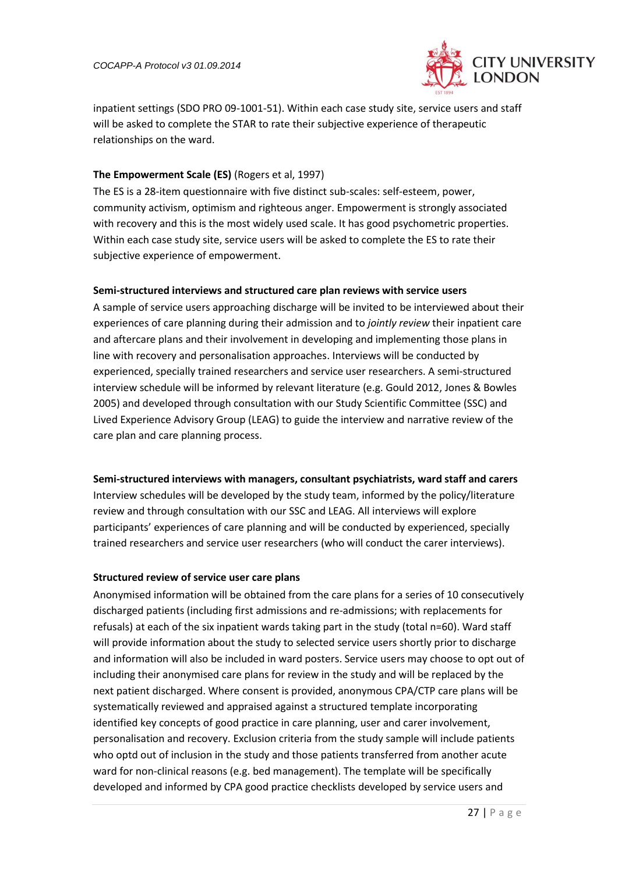

inpatient settings (SDO PRO 09-1001-51). Within each case study site, service users and staff will be asked to complete the STAR to rate their subjective experience of therapeutic relationships on the ward.

### **The Empowerment Scale (ES)** (Rogers et al, 1997)

The ES is a 28-item questionnaire with five distinct sub-scales: self-esteem, power, community activism, optimism and righteous anger. Empowerment is strongly associated with recovery and this is the most widely used scale. It has good psychometric properties. Within each case study site, service users will be asked to complete the ES to rate their subjective experience of empowerment.

### <span id="page-26-0"></span>**Semi-structured interviews and structured care plan reviews with service users**

A sample of service users approaching discharge will be invited to be interviewed about their experiences of care planning during their admission and to *jointly review* their inpatient care and aftercare plans and their involvement in developing and implementing those plans in line with recovery and personalisation approaches. Interviews will be conducted by experienced, specially trained researchers and service user researchers. A semi-structured interview schedule will be informed by relevant literature (e.g. Gould 2012, Jones & Bowles 2005) and developed through consultation with our Study Scientific Committee (SSC) and Lived Experience Advisory Group (LEAG) to guide the interview and narrative review of the care plan and care planning process.

### <span id="page-26-1"></span>**Semi-structured interviews with managers, consultant psychiatrists, ward staff and carers**

Interview schedules will be developed by the study team, informed by the policy/literature review and through consultation with our SSC and LEAG. All interviews will explore participants' experiences of care planning and will be conducted by experienced, specially trained researchers and service user researchers (who will conduct the carer interviews).

### <span id="page-26-2"></span>**Structured review of service user care plans**

Anonymised information will be obtained from the care plans for a series of 10 consecutively discharged patients (including first admissions and re-admissions; with replacements for refusals) at each of the six inpatient wards taking part in the study (total n=60). Ward staff will provide information about the study to selected service users shortly prior to discharge and information will also be included in ward posters. Service users may choose to opt out of including their anonymised care plans for review in the study and will be replaced by the next patient discharged. Where consent is provided, anonymous CPA/CTP care plans will be systematically reviewed and appraised against a structured template incorporating identified key concepts of good practice in care planning, user and carer involvement, personalisation and recovery. Exclusion criteria from the study sample will include patients who optd out of inclusion in the study and those patients transferred from another acute ward for non-clinical reasons (e.g. bed management). The template will be specifically developed and informed by CPA good practice checklists developed by service users and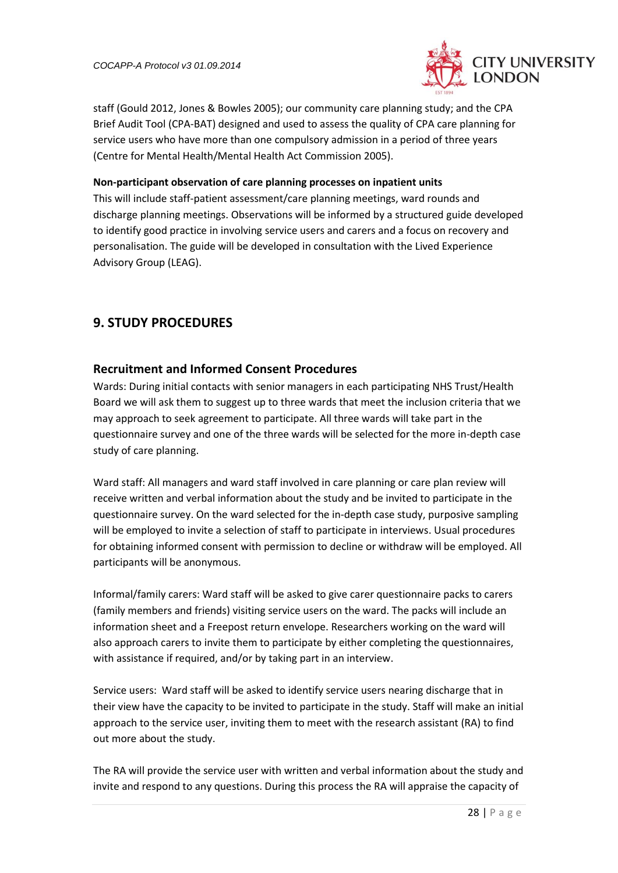

staff (Gould 2012, Jones & Bowles 2005); our community care planning study; and the CPA Brief Audit Tool (CPA-BAT) designed and used to assess the quality of CPA care planning for service users who have more than one compulsory admission in a period of three years (Centre for Mental Health/Mental Health Act Commission 2005).

### <span id="page-27-0"></span>**Non-participant observation of care planning processes on inpatient units**

This will include staff-patient assessment/care planning meetings, ward rounds and discharge planning meetings. Observations will be informed by a structured guide developed to identify good practice in involving service users and carers and a focus on recovery and personalisation. The guide will be developed in consultation with the Lived Experience Advisory Group (LEAG).

# <span id="page-27-1"></span>**9. STUDY PROCEDURES**

## <span id="page-27-2"></span>**Recruitment and Informed Consent Procedures**

Wards: During initial contacts with senior managers in each participating NHS Trust/Health Board we will ask them to suggest up to three wards that meet the inclusion criteria that we may approach to seek agreement to participate. All three wards will take part in the questionnaire survey and one of the three wards will be selected for the more in-depth case study of care planning.

Ward staff: All managers and ward staff involved in care planning or care plan review will receive written and verbal information about the study and be invited to participate in the questionnaire survey. On the ward selected for the in-depth case study, purposive sampling will be employed to invite a selection of staff to participate in interviews. Usual procedures for obtaining informed consent with permission to decline or withdraw will be employed. All participants will be anonymous.

Informal/family carers: Ward staff will be asked to give carer questionnaire packs to carers (family members and friends) visiting service users on the ward. The packs will include an information sheet and a Freepost return envelope. Researchers working on the ward will also approach carers to invite them to participate by either completing the questionnaires, with assistance if required, and/or by taking part in an interview.

Service users: Ward staff will be asked to identify service users nearing discharge that in their view have the capacity to be invited to participate in the study. Staff will make an initial approach to the service user, inviting them to meet with the research assistant (RA) to find out more about the study.

The RA will provide the service user with written and verbal information about the study and invite and respond to any questions. During this process the RA will appraise the capacity of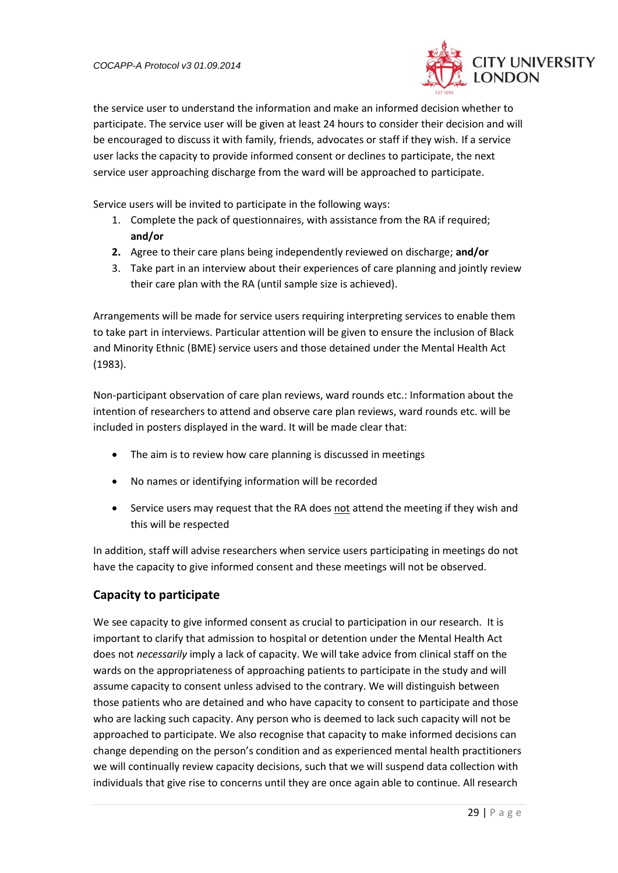

the service user to understand the information and make an informed decision whether to participate. The service user will be given at least 24 hours to consider their decision and will be encouraged to discuss it with family, friends, advocates or staff if they wish. If a service user lacks the capacity to provide informed consent or declines to participate, the next service user approaching discharge from the ward will be approached to participate.

Service users will be invited to participate in the following ways:

- 1. Complete the pack of questionnaires, with assistance from the RA if required; **and/or**
- **2.** Agree to their care plans being independently reviewed on discharge; **and/or**
- 3. Take part in an interview about their experiences of care planning and jointly review their care plan with the RA (until sample size is achieved).

Arrangements will be made for service users requiring interpreting services to enable them to take part in interviews. Particular attention will be given to ensure the inclusion of Black and Minority Ethnic (BME) service users and those detained under the Mental Health Act (1983).

Non-participant observation of care plan reviews, ward rounds etc.: Information about the intention of researchers to attend and observe care plan reviews, ward rounds etc. will be included in posters displayed in the ward. It will be made clear that:

- The aim is to review how care planning is discussed in meetings
- No names or identifying information will be recorded
- Service users may request that the RA does not attend the meeting if they wish and this will be respected

In addition, staff will advise researchers when service users participating in meetings do not have the capacity to give informed consent and these meetings will not be observed.

## <span id="page-28-0"></span>**Capacity to participate**

We see capacity to give informed consent as crucial to participation in our research. It is important to clarify that admission to hospital or detention under the Mental Health Act does not *necessarily* imply a lack of capacity. We will take advice from clinical staff on the wards on the appropriateness of approaching patients to participate in the study and will assume capacity to consent unless advised to the contrary. We will distinguish between those patients who are detained and who have capacity to consent to participate and those who are lacking such capacity. Any person who is deemed to lack such capacity will not be approached to participate. We also recognise that capacity to make informed decisions can change depending on the person's condition and as experienced mental health practitioners we will continually review capacity decisions, such that we will suspend data collection with individuals that give rise to concerns until they are once again able to continue. All research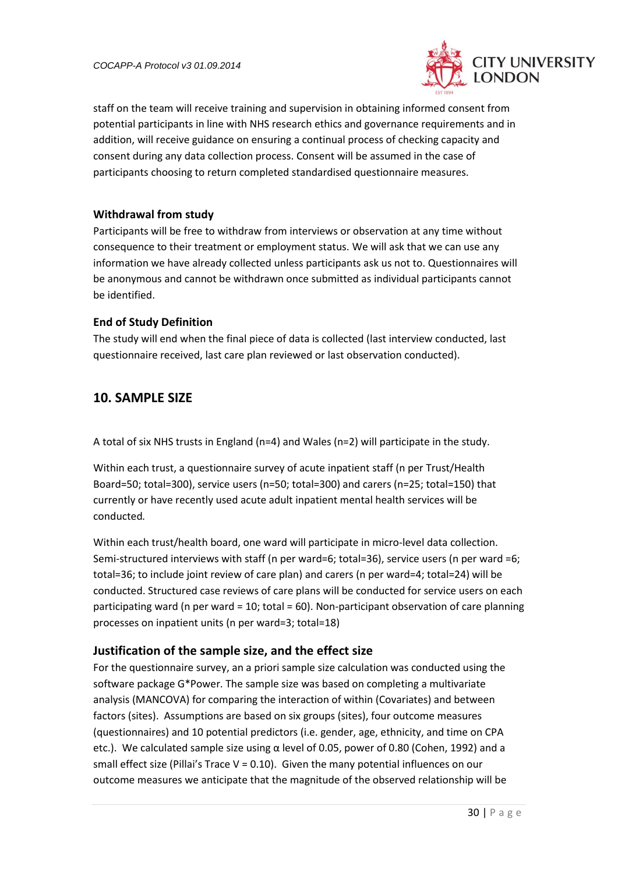

staff on the team will receive training and supervision in obtaining informed consent from potential participants in line with NHS research ethics and governance requirements and in addition, will receive guidance on ensuring a continual process of checking capacity and consent during any data collection process. Consent will be assumed in the case of participants choosing to return completed standardised questionnaire measures.

### <span id="page-29-0"></span>**Withdrawal from study**

Participants will be free to withdraw from interviews or observation at any time without consequence to their treatment or employment status. We will ask that we can use any information we have already collected unless participants ask us not to. Questionnaires will be anonymous and cannot be withdrawn once submitted as individual participants cannot be identified.

### <span id="page-29-1"></span>**End of Study Definition**

The study will end when the final piece of data is collected (last interview conducted, last questionnaire received, last care plan reviewed or last observation conducted).

## <span id="page-29-2"></span>**10. SAMPLE SIZE**

A total of six NHS trusts in England (n=4) and Wales (n=2) will participate in the study.

Within each trust, a questionnaire survey of acute inpatient staff (n per Trust/Health Board=50; total=300), service users (n=50; total=300) and carers (n=25; total=150) that currently or have recently used acute adult inpatient mental health services will be conducted*.*

Within each trust/health board, one ward will participate in micro-level data collection. Semi-structured interviews with staff (n per ward=6; total=36), service users (n per ward =6; total=36; to include joint review of care plan) and carers (n per ward=4; total=24) will be conducted. Structured case reviews of care plans will be conducted for service users on each participating ward (n per ward = 10; total = 60). Non-participant observation of care planning processes on inpatient units (n per ward=3; total=18)

## <span id="page-29-3"></span>**Justification of the sample size, and the effect size**

For the questionnaire survey, an a priori sample size calculation was conducted using the software package G\*Power. The sample size was based on completing a multivariate analysis (MANCOVA) for comparing the interaction of within (Covariates) and between factors (sites). Assumptions are based on six groups (sites), four outcome measures (questionnaires) and 10 potential predictors (i.e. gender, age, ethnicity, and time on CPA etc.). We calculated sample size using  $α$  level of 0.05, power of 0.80 (Cohen, 1992) and a small effect size (Pillai's Trace  $V = 0.10$ ). Given the many potential influences on our outcome measures we anticipate that the magnitude of the observed relationship will be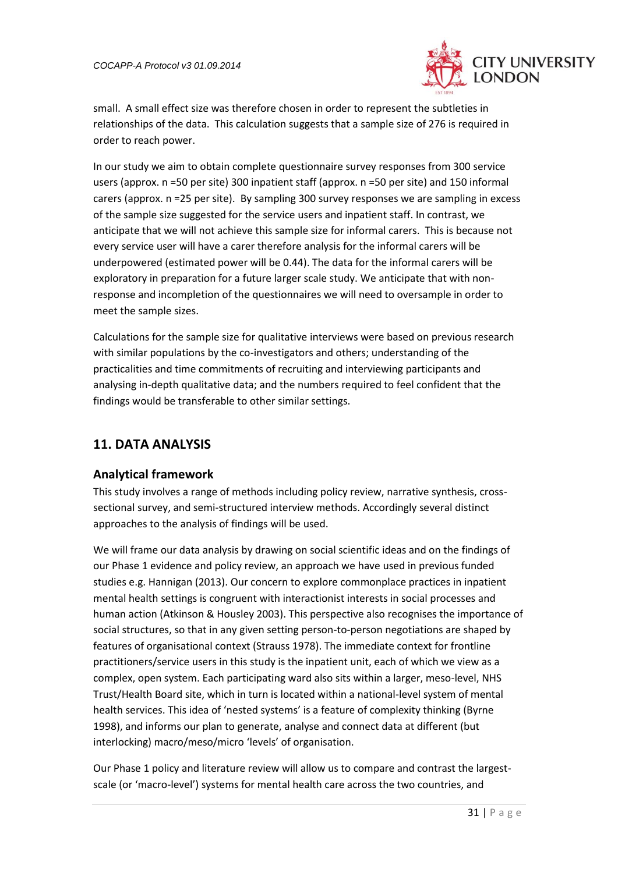

small. A small effect size was therefore chosen in order to represent the subtleties in relationships of the data. This calculation suggests that a sample size of 276 is required in order to reach power.

In our study we aim to obtain complete questionnaire survey responses from 300 service users (approx. n =50 per site) 300 inpatient staff (approx. n =50 per site) and 150 informal carers (approx. n =25 per site). By sampling 300 survey responses we are sampling in excess of the sample size suggested for the service users and inpatient staff. In contrast, we anticipate that we will not achieve this sample size for informal carers. This is because not every service user will have a carer therefore analysis for the informal carers will be underpowered (estimated power will be 0.44). The data for the informal carers will be exploratory in preparation for a future larger scale study. We anticipate that with nonresponse and incompletion of the questionnaires we will need to oversample in order to meet the sample sizes.

Calculations for the sample size for qualitative interviews were based on previous research with similar populations by the co-investigators and others; understanding of the practicalities and time commitments of recruiting and interviewing participants and analysing in-depth qualitative data; and the numbers required to feel confident that the findings would be transferable to other similar settings.

# <span id="page-30-0"></span>**11. DATA ANALYSIS**

### <span id="page-30-1"></span>**Analytical framework**

This study involves a range of methods including policy review, narrative synthesis, crosssectional survey, and semi-structured interview methods. Accordingly several distinct approaches to the analysis of findings will be used.

We will frame our data analysis by drawing on social scientific ideas and on the findings of our Phase 1 evidence and policy review, an approach we have used in previous funded studies e.g. Hannigan (2013). Our concern to explore commonplace practices in inpatient mental health settings is congruent with interactionist interests in social processes and human action (Atkinson & Housley 2003). This perspective also recognises the importance of social structures, so that in any given setting person-to-person negotiations are shaped by features of organisational context (Strauss 1978). The immediate context for frontline practitioners/service users in this study is the inpatient unit, each of which we view as a complex, open system. Each participating ward also sits within a larger, meso-level, NHS Trust/Health Board site, which in turn is located within a national-level system of mental health services. This idea of 'nested systems' is a feature of complexity thinking (Byrne 1998), and informs our plan to generate, analyse and connect data at different (but interlocking) macro/meso/micro 'levels' of organisation.

Our Phase 1 policy and literature review will allow us to compare and contrast the largestscale (or 'macro-level') systems for mental health care across the two countries, and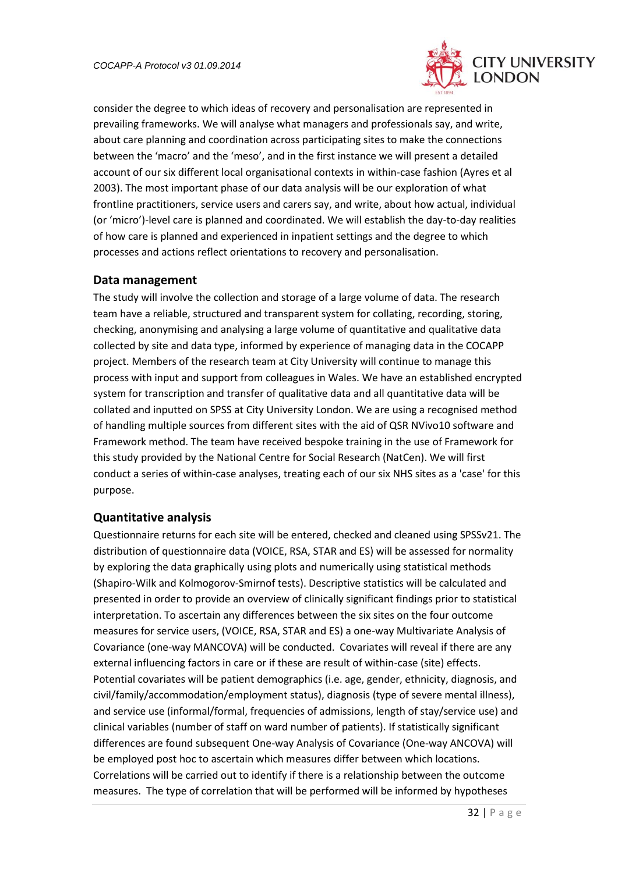

consider the degree to which ideas of recovery and personalisation are represented in prevailing frameworks. We will analyse what managers and professionals say, and write, about care planning and coordination across participating sites to make the connections between the 'macro' and the 'meso', and in the first instance we will present a detailed account of our six different local organisational contexts in within-case fashion (Ayres et al 2003). The most important phase of our data analysis will be our exploration of what frontline practitioners, service users and carers say, and write, about how actual, individual (or 'micro')-level care is planned and coordinated. We will establish the day-to-day realities of how care is planned and experienced in inpatient settings and the degree to which processes and actions reflect orientations to recovery and personalisation.

### <span id="page-31-0"></span>**Data management**

The study will involve the collection and storage of a large volume of data. The research team have a reliable, structured and transparent system for collating, recording, storing, checking, anonymising and analysing a large volume of quantitative and qualitative data collected by site and data type, informed by experience of managing data in the COCAPP project. Members of the research team at City University will continue to manage this process with input and support from colleagues in Wales. We have an established encrypted system for transcription and transfer of qualitative data and all quantitative data will be collated and inputted on SPSS at City University London. We are using a recognised method of handling multiple sources from different sites with the aid of QSR NVivo10 software and Framework method. The team have received bespoke training in the use of Framework for this study provided by the National Centre for Social Research (NatCen). We will first conduct a series of within-case analyses, treating each of our six NHS sites as a 'case' for this purpose.

## <span id="page-31-1"></span>**Quantitative analysis**

Questionnaire returns for each site will be entered, checked and cleaned using SPSSv21. The distribution of questionnaire data (VOICE, RSA, STAR and ES) will be assessed for normality by exploring the data graphically using plots and numerically using statistical methods (Shapiro-Wilk and Kolmogorov-Smirnof tests). Descriptive statistics will be calculated and presented in order to provide an overview of clinically significant findings prior to statistical interpretation. To ascertain any differences between the six sites on the four outcome measures for service users, (VOICE, RSA, STAR and ES) a one-way Multivariate Analysis of Covariance (one-way MANCOVA) will be conducted. Covariates will reveal if there are any external influencing factors in care or if these are result of within-case (site) effects. Potential covariates will be patient demographics (i.e. age, gender, ethnicity, diagnosis, and civil/family/accommodation/employment status), diagnosis (type of severe mental illness), and service use (informal/formal, frequencies of admissions, length of stay/service use) and clinical variables (number of staff on ward number of patients). If statistically significant differences are found subsequent One-way Analysis of Covariance (One-way ANCOVA) will be employed post hoc to ascertain which measures differ between which locations. Correlations will be carried out to identify if there is a relationship between the outcome measures. The type of correlation that will be performed will be informed by hypotheses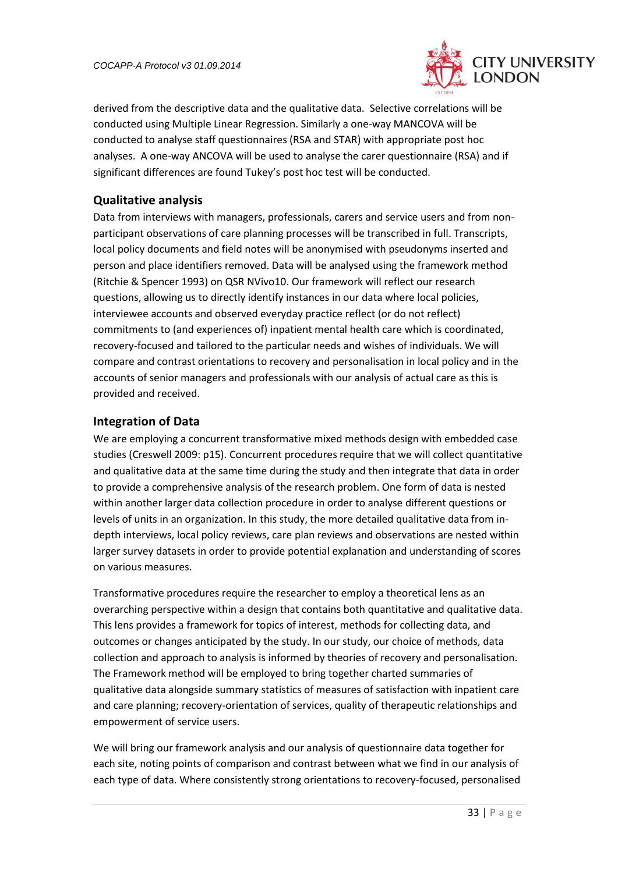

derived from the descriptive data and the qualitative data. Selective correlations will be conducted using Multiple Linear Regression. Similarly a one-way MANCOVA will be conducted to analyse staff questionnaires (RSA and STAR) with appropriate post hoc analyses. A one-way ANCOVA will be used to analyse the carer questionnaire (RSA) and if significant differences are found Tukey's post hoc test will be conducted.

## <span id="page-32-0"></span>**Qualitative analysis**

Data from interviews with managers, professionals, carers and service users and from nonparticipant observations of care planning processes will be transcribed in full. Transcripts, local policy documents and field notes will be anonymised with pseudonyms inserted and person and place identifiers removed. Data will be analysed using the framework method (Ritchie & Spencer 1993) on QSR NVivo10. Our framework will reflect our research questions, allowing us to directly identify instances in our data where local policies, interviewee accounts and observed everyday practice reflect (or do not reflect) commitments to (and experiences of) inpatient mental health care which is coordinated, recovery-focused and tailored to the particular needs and wishes of individuals. We will compare and contrast orientations to recovery and personalisation in local policy and in the accounts of senior managers and professionals with our analysis of actual care as this is provided and received.

### <span id="page-32-1"></span>**Integration of Data**

We are employing a concurrent transformative mixed methods design with embedded case studies (Creswell 2009: p15). Concurrent procedures require that we will collect quantitative and qualitative data at the same time during the study and then integrate that data in order to provide a comprehensive analysis of the research problem. One form of data is nested within another larger data collection procedure in order to analyse different questions or levels of units in an organization. In this study, the more detailed qualitative data from indepth interviews, local policy reviews, care plan reviews and observations are nested within larger survey datasets in order to provide potential explanation and understanding of scores on various measures.

Transformative procedures require the researcher to employ a theoretical lens as an overarching perspective within a design that contains both quantitative and qualitative data. This lens provides a framework for topics of interest, methods for collecting data, and outcomes or changes anticipated by the study. In our study, our choice of methods, data collection and approach to analysis is informed by theories of recovery and personalisation. The Framework method will be employed to bring together charted summaries of qualitative data alongside summary statistics of measures of satisfaction with inpatient care and care planning; recovery-orientation of services, quality of therapeutic relationships and empowerment of service users.

We will bring our framework analysis and our analysis of questionnaire data together for each site, noting points of comparison and contrast between what we find in our analysis of each type of data. Where consistently strong orientations to recovery-focused, personalised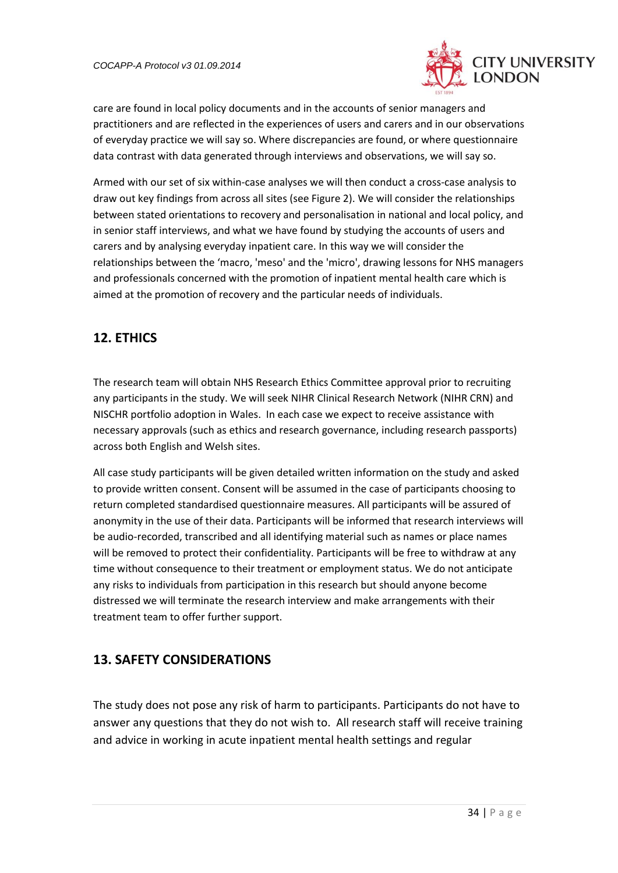

care are found in local policy documents and in the accounts of senior managers and practitioners and are reflected in the experiences of users and carers and in our observations of everyday practice we will say so. Where discrepancies are found, or where questionnaire data contrast with data generated through interviews and observations, we will say so.

Armed with our set of six within-case analyses we will then conduct a cross-case analysis to draw out key findings from across all sites (see Figure 2). We will consider the relationships between stated orientations to recovery and personalisation in national and local policy, and in senior staff interviews, and what we have found by studying the accounts of users and carers and by analysing everyday inpatient care. In this way we will consider the relationships between the 'macro, 'meso' and the 'micro', drawing lessons for NHS managers and professionals concerned with the promotion of inpatient mental health care which is aimed at the promotion of recovery and the particular needs of individuals.

# **12. ETHICS**

The research team will obtain NHS Research Ethics Committee approval prior to recruiting any participants in the study. We will seek NIHR Clinical Research Network (NIHR CRN) and NISCHR portfolio adoption in Wales. In each case we expect to receive assistance with necessary approvals (such as ethics and research governance, including research passports) across both English and Welsh sites.

All case study participants will be given detailed written information on the study and asked to provide written consent. Consent will be assumed in the case of participants choosing to return completed standardised questionnaire measures. All participants will be assured of anonymity in the use of their data. Participants will be informed that research interviews will be audio-recorded, transcribed and all identifying material such as names or place names will be removed to protect their confidentiality. Participants will be free to withdraw at any time without consequence to their treatment or employment status. We do not anticipate any risks to individuals from participation in this research but should anyone become distressed we will terminate the research interview and make arrangements with their treatment team to offer further support.

# **13. SAFETY CONSIDERATIONS**

The study does not pose any risk of harm to participants. Participants do not have to answer any questions that they do not wish to. All research staff will receive training and advice in working in acute inpatient mental health settings and regular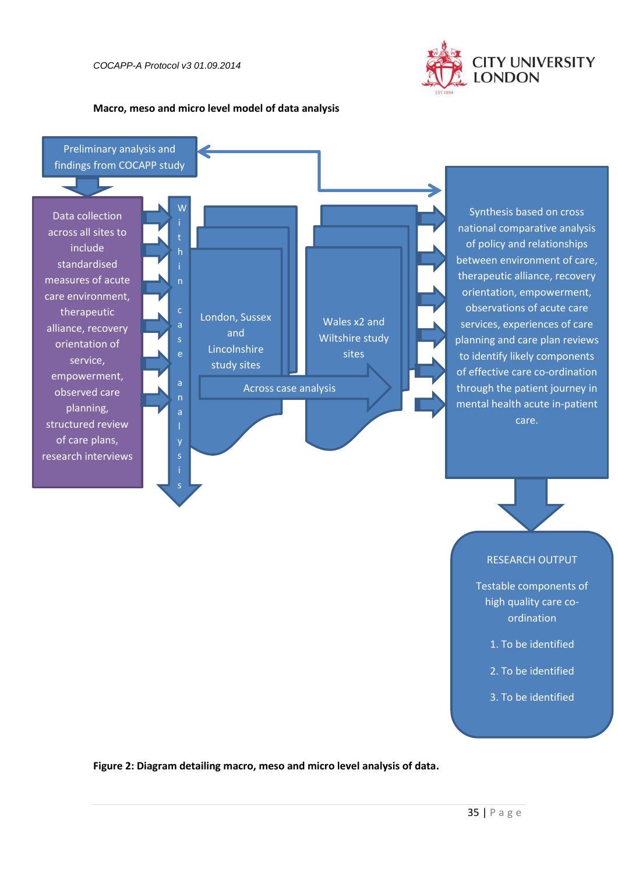

#### **Macro, meso and micro level model of data analysis**



Synthesis based on cross national comparative analysis of policy and relationships between environment of care, therapeutic alliance, recovery orientation, empowerment, observations of acute care services, experiences of care planning and care plan reviews to identify likely components of effective care co-ordination through the patient journey in mental health acute in-patient care.

### RESEARCH OUTPUT

Testable components of high quality care coordination

- 1. To be identified
- 2. To be identified
- 3. To be identified

<span id="page-34-0"></span>**Figure 2: Diagram detailing macro, meso and micro level analysis of data.**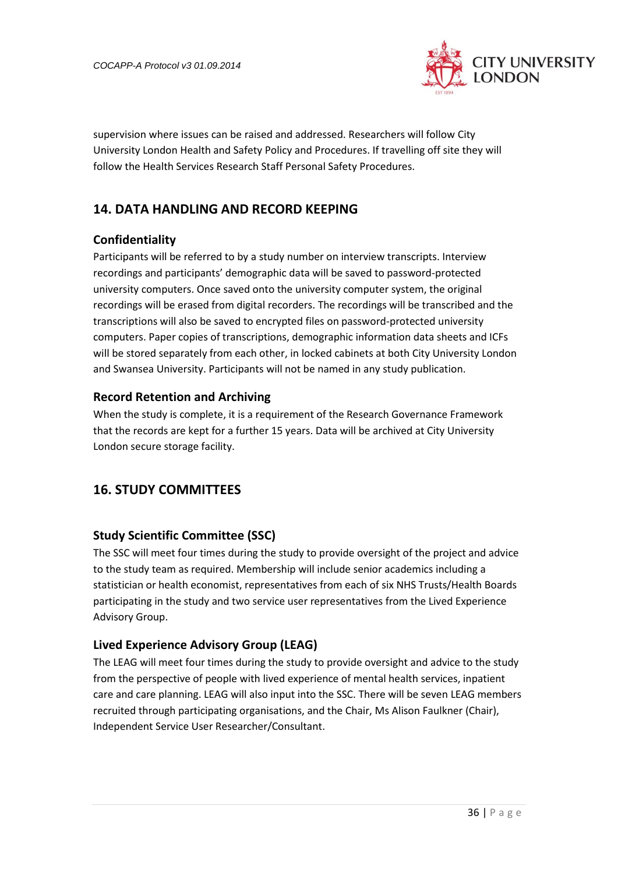

<span id="page-35-0"></span>supervision where issues can be raised and addressed. Researchers will follow City University London Health and Safety Policy and Procedures. If travelling off site they will follow the Health Services Research Staff Personal Safety Procedures.

# <span id="page-35-1"></span>**14. DATA HANDLING AND RECORD KEEPING**

## <span id="page-35-2"></span>**Confidentiality**

Participants will be referred to by a study number on interview transcripts. Interview recordings and participants' demographic data will be saved to password-protected university computers. Once saved onto the university computer system, the original recordings will be erased from digital recorders. The recordings will be transcribed and the transcriptions will also be saved to encrypted files on password-protected university computers. Paper copies of transcriptions, demographic information data sheets and ICFs will be stored separately from each other, in locked cabinets at both City University London and Swansea University. Participants will not be named in any study publication.

## <span id="page-35-3"></span>**Record Retention and Archiving**

When the study is complete, it is a requirement of the Research Governance Framework that the records are kept for a further 15 years. Data will be archived at City University London secure storage facility.

## <span id="page-35-4"></span>**16. STUDY COMMITTEES**

## <span id="page-35-5"></span>**Study Scientific Committee (SSC)**

The SSC will meet four times during the study to provide oversight of the project and advice to the study team as required. Membership will include senior academics including a statistician or health economist, representatives from each of six NHS Trusts/Health Boards participating in the study and two service user representatives from the Lived Experience Advisory Group.

## <span id="page-35-6"></span>**Lived Experience Advisory Group (LEAG)**

<span id="page-35-7"></span>The LEAG will meet four times during the study to provide oversight and advice to the study from the perspective of people with lived experience of mental health services, inpatient care and care planning. LEAG will also input into the SSC. There will be seven LEAG members recruited through participating organisations, and the Chair, Ms Alison Faulkner (Chair), Independent Service User Researcher/Consultant.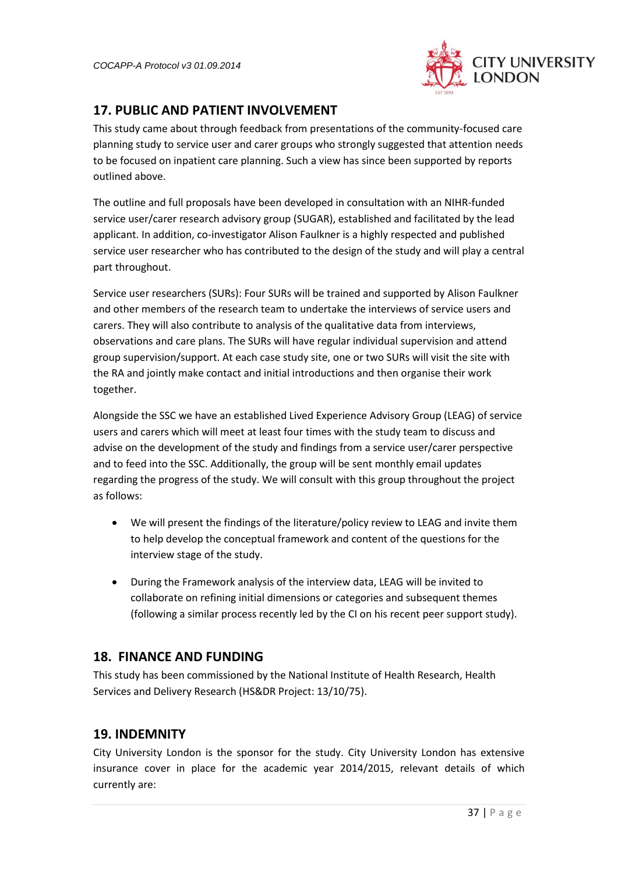

## **17. PUBLIC AND PATIENT INVOLVEMENT**

This study came about through feedback from presentations of the community-focused care planning study to service user and carer groups who strongly suggested that attention needs to be focused on inpatient care planning. Such a view has since been supported by reports outlined above.

The outline and full proposals have been developed in consultation with an NIHR-funded service user/carer research advisory group (SUGAR), established and facilitated by the lead applicant. In addition, co-investigator Alison Faulkner is a highly respected and published service user researcher who has contributed to the design of the study and will play a central part throughout.

Service user researchers (SURs): Four SURs will be trained and supported by Alison Faulkner and other members of the research team to undertake the interviews of service users and carers. They will also contribute to analysis of the qualitative data from interviews, observations and care plans. The SURs will have regular individual supervision and attend group supervision/support. At each case study site, one or two SURs will visit the site with the RA and jointly make contact and initial introductions and then organise their work together.

Alongside the SSC we have an established Lived Experience Advisory Group (LEAG) of service users and carers which will meet at least four times with the study team to discuss and advise on the development of the study and findings from a service user/carer perspective and to feed into the SSC. Additionally, the group will be sent monthly email updates regarding the progress of the study. We will consult with this group throughout the project as follows:

- We will present the findings of the literature/policy review to LEAG and invite them to help develop the conceptual framework and content of the questions for the interview stage of the study.
- During the Framework analysis of the interview data, LEAG will be invited to collaborate on refining initial dimensions or categories and subsequent themes (following a similar process recently led by the CI on his recent peer support study).

## <span id="page-36-0"></span>**18. FINANCE AND FUNDING**

This study has been commissioned by the National Institute of Health Research, Health Services and Delivery Research (HS&DR Project: 13/10/75).

# <span id="page-36-1"></span>**19. INDEMNITY**

City University London is the sponsor for the study. City University London has extensive insurance cover in place for the academic year 2014/2015, relevant details of which currently are: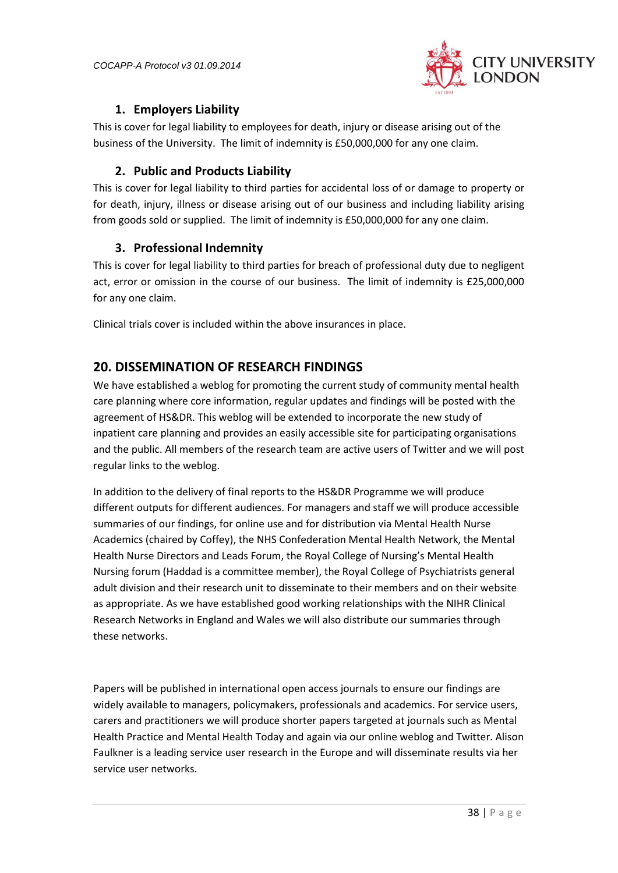

## **1. Employers Liability**

<span id="page-37-0"></span>This is cover for legal liability to employees for death, injury or disease arising out of the business of the University. The limit of indemnity is £50,000,000 for any one claim.

## **2. Public and Products Liability**

<span id="page-37-1"></span>This is cover for legal liability to third parties for accidental loss of or damage to property or for death, injury, illness or disease arising out of our business and including liability arising from goods sold or supplied. The limit of indemnity is £50,000,000 for any one claim.

## <span id="page-37-2"></span>**3. Professional Indemnity**

This is cover for legal liability to third parties for breach of professional duty due to negligent act, error or omission in the course of our business. The limit of indemnity is £25,000,000 for any one claim.

Clinical trials cover is included within the above insurances in place.

## <span id="page-37-3"></span>**20. DISSEMINATION OF RESEARCH FINDINGS**

We have established a weblog for promoting the current study of community mental health care planning where core information, regular updates and findings will be posted with the agreement of HS&DR. This weblog will be extended to incorporate the new study of inpatient care planning and provides an easily accessible site for participating organisations and the public. All members of the research team are active users of Twitter and we will post regular links to the weblog.

In addition to the delivery of final reports to the HS&DR Programme we will produce different outputs for different audiences. For managers and staff we will produce accessible summaries of our findings, for online use and for distribution via Mental Health Nurse Academics (chaired by Coffey), the NHS Confederation Mental Health Network, the Mental Health Nurse Directors and Leads Forum, the Royal College of Nursing's Mental Health Nursing forum (Haddad is a committee member), the Royal College of Psychiatrists general adult division and their research unit to disseminate to their members and on their website as appropriate. As we have established good working relationships with the NIHR Clinical Research Networks in England and Wales we will also distribute our summaries through these networks.

Papers will be published in international open access journals to ensure our findings are widely available to managers, policymakers, professionals and academics. For service users, carers and practitioners we will produce shorter papers targeted at journals such as Mental Health Practice and Mental Health Today and again via our online weblog and Twitter. Alison Faulkner is a leading service user research in the Europe and will disseminate results via her service user networks.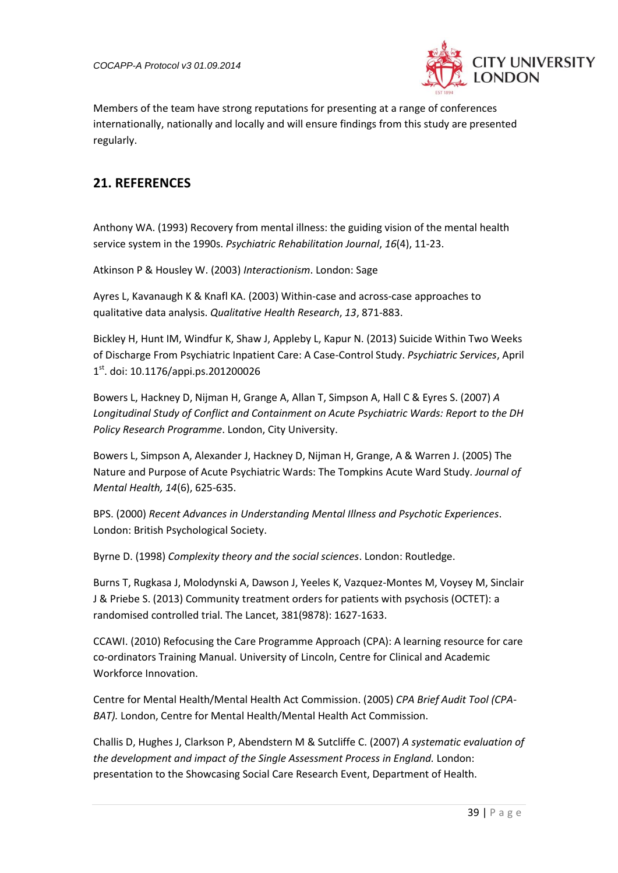

Members of the team have strong reputations for presenting at a range of conferences internationally, nationally and locally and will ensure findings from this study are presented regularly.

# <span id="page-38-0"></span>**21. REFERENCES**

Anthony WA. (1993) Recovery from mental illness: the guiding vision of the mental health service system in the 1990s. *Psychiatric Rehabilitation Journal*, *16*(4), 11-23.

Atkinson P & Housley W. (2003) *Interactionism*. London: Sage

Ayres L, Kavanaugh K & Knafl KA. (2003) Within-case and across-case approaches to qualitative data analysis. *Qualitative Health Research*, *13*, 871-883.

Bickley H, Hunt IM, Windfur K, Shaw J, Appleby L, Kapur N. (2013) Suicide Within Two Weeks of Discharge From Psychiatric Inpatient Care: A Case-Control Study. *Psychiatric Services*, April 1 st. doi: 10.1176/appi.ps.201200026

Bowers L, Hackney D, Nijman H, Grange A, Allan T, Simpson A, Hall C & Eyres S. (2007) *A Longitudinal Study of Conflict and Containment on Acute Psychiatric Wards: Report to the DH Policy Research Programme*. London, City University.

Bowers L, Simpson A, Alexander J, Hackney D, Nijman H, Grange, A & Warren J. (2005) The Nature and Purpose of Acute Psychiatric Wards: The Tompkins Acute Ward Study. *Journal of Mental Health, 14*(6), 625-635.

BPS. (2000) *Recent Advances in Understanding Mental Illness and Psychotic Experiences*. London: British Psychological Society.

Byrne D. (1998) *Complexity theory and the social sciences*. London: Routledge.

Burns T, Rugkasa J, Molodynski A, Dawson J, Yeeles K, Vazquez-Montes M, Voysey M, Sinclair J & Priebe S. (2013) Community treatment orders for patients with psychosis (OCTET): a randomised controlled trial. The Lancet, 381(9878): 1627-1633.

CCAWI. (2010) Refocusing the Care Programme Approach (CPA): A learning resource for care co-ordinators Training Manual. University of Lincoln, Centre for Clinical and Academic Workforce Innovation.

Centre for Mental Health/Mental Health Act Commission. (2005) *CPA Brief Audit Tool (CPA-BAT).* London, Centre for Mental Health/Mental Health Act Commission.

Challis D, Hughes J, Clarkson P, Abendstern M & Sutcliffe C. (2007) *A systematic evaluation of the development and impact of the Single Assessment Process in England.* London: presentation to the Showcasing Social Care Research Event, Department of Health.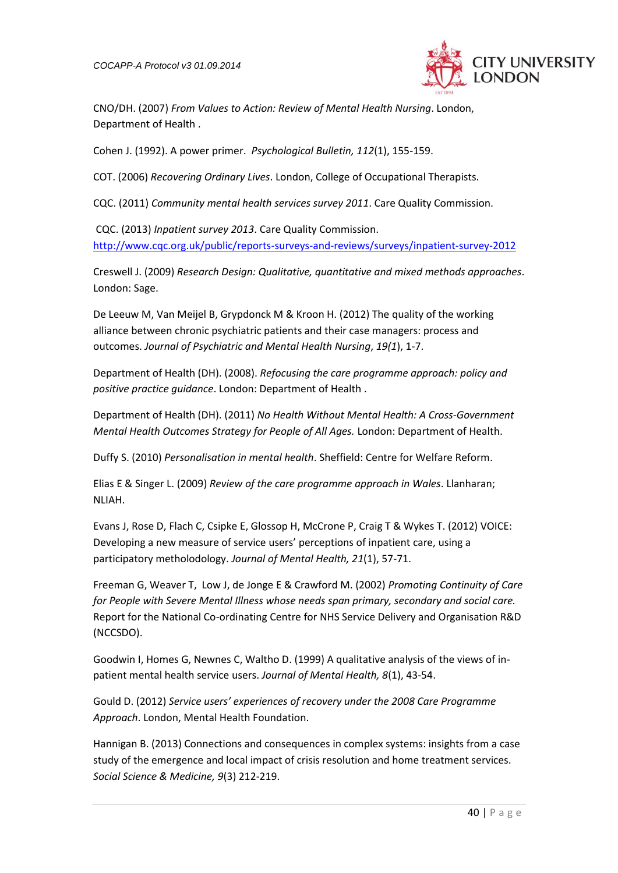

CNO/DH. (2007) *From Values to Action: Review of Mental Health Nursing*. London, Department of Health .

Cohen J. (1992). A power primer. *Psychological Bulletin, 112*(1), 155-159.

COT. (2006) *Recovering Ordinary Lives*. London, College of Occupational Therapists.

CQC. (2011) *Community mental health services survey 2011*. Care Quality Commission.

CQC. (2013) *Inpatient survey 2013*. Care Quality Commission. <http://www.cqc.org.uk/public/reports-surveys-and-reviews/surveys/inpatient-survey-2012>

Creswell J. (2009) *Research Design: Qualitative, quantitative and mixed methods approaches*. London: Sage.

De Leeuw M, Van Meijel B, Grypdonck M & Kroon H. (2012) The quality of the working alliance between chronic psychiatric patients and their case managers: process and outcomes. *Journal of Psychiatric and Mental Health Nursing*, *19(1*), 1-7.

Department of Health (DH). (2008). *Refocusing the care programme approach: policy and positive practice guidance*. London: Department of Health .

Department of Health (DH). (2011) *No Health Without Mental Health: A Cross-Government Mental Health Outcomes Strategy for People of All Ages.* London: Department of Health.

Duffy S. (2010) *Personalisation in mental health*. Sheffield: Centre for Welfare Reform.

Elias E & Singer L. (2009) *Review of the care programme approach in Wales*. Llanharan; NLIAH.

Evans J, Rose D, Flach C, Csipke E, Glossop H, McCrone P, Craig T & Wykes T. (2012) VOICE: Developing a new measure of service users' perceptions of inpatient care, using a participatory metholodology. *Journal of Mental Health, 21*(1), 57-71.

Freeman G, Weaver T, Low J, de Jonge E & Crawford M. (2002) *Promoting Continuity of Care for People with Severe Mental Illness whose needs span primary, secondary and social care.* Report for the National Co-ordinating Centre for NHS Service Delivery and Organisation R&D (NCCSDO).

Goodwin I, Homes G, Newnes C, Waltho D. (1999) A qualitative analysis of the views of inpatient mental health service users. *Journal of Mental Health, 8*(1), 43-54.

Gould D. (2012) *Service users' experiences of recovery under the 2008 Care Programme Approach*. London, Mental Health Foundation.

Hannigan B. (2013) Connections and consequences in complex systems: insights from a case study of the emergence and local impact of crisis resolution and home treatment services. *Social Science & Medicine, 9*(3) 212-219.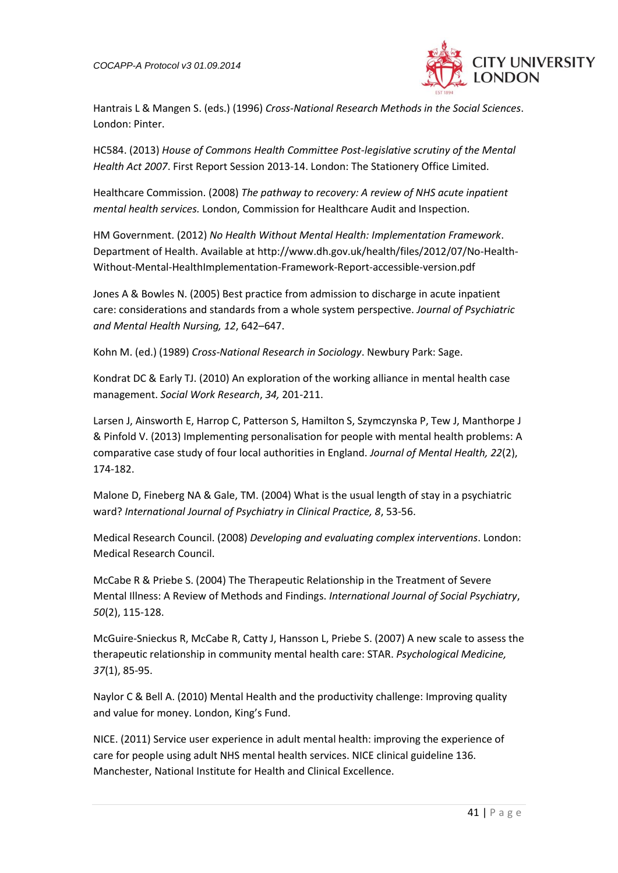*COCAPP-A Protocol v3 01.09.2014* 



Hantrais L & Mangen S. (eds.) (1996) *Cross-National Research Methods in the Social Sciences*. London: Pinter.

HC584. (2013) *House of Commons Health Committee Post-legislative scrutiny of the Mental Health Act 2007*. First Report Session 2013-14. London: The Stationery Office Limited.

Healthcare Commission. (2008) *The pathway to recovery: A review of NHS acute inpatient mental health services.* London, Commission for Healthcare Audit and Inspection.

HM Government. (2012) *No Health Without Mental Health: Implementation Framework*. Department of Health. Available at http://www.dh.gov.uk/health/files/2012/07/No-Health-Without-Mental-HealthImplementation-Framework-Report-accessible-version.pdf

Jones A & Bowles N. (2005) Best practice from admission to discharge in acute inpatient care: considerations and standards from a whole system perspective. *Journal of Psychiatric and Mental Health Nursing, 12*, 642–647.

Kohn M. (ed.) (1989) *Cross-National Research in Sociology*. Newbury Park: Sage.

Kondrat DC & Early TJ. (2010) An exploration of the working alliance in mental health case management. *Social Work Research*, *34,* 201-211.

Larsen J, Ainsworth E, Harrop C, Patterson S, Hamilton S, Szymczynska P, Tew J, Manthorpe J & Pinfold V. (2013) Implementing personalisation for people with mental health problems: A comparative case study of four local authorities in England. *Journal of Mental Health, 22*(2), 174-182.

Malone D, Fineberg NA & Gale, TM. (2004) What is the usual length of stay in a psychiatric ward? *International Journal of Psychiatry in Clinical Practice, 8*, 53-56.

Medical Research Council. (2008) *Developing and evaluating complex interventions*. London: Medical Research Council.

McCabe R & Priebe S. (2004) The Therapeutic Relationship in the Treatment of Severe Mental Illness: A Review of Methods and Findings. *International Journal of Social Psychiatry*, *50*(2), 115-128.

McGuire-Snieckus R, McCabe R, Catty J, Hansson L, Priebe S. (2007) A new scale to assess the therapeutic relationship in community mental health care: STAR. *Psychological Medicine, 37*(1), 85-95.

Naylor C & Bell A. (2010) Mental Health and the productivity challenge: Improving quality and value for money. London, King's Fund.

NICE. (2011) Service user experience in adult mental health: improving the experience of care for people using adult NHS mental health services. NICE clinical guideline 136. Manchester, National Institute for Health and Clinical Excellence.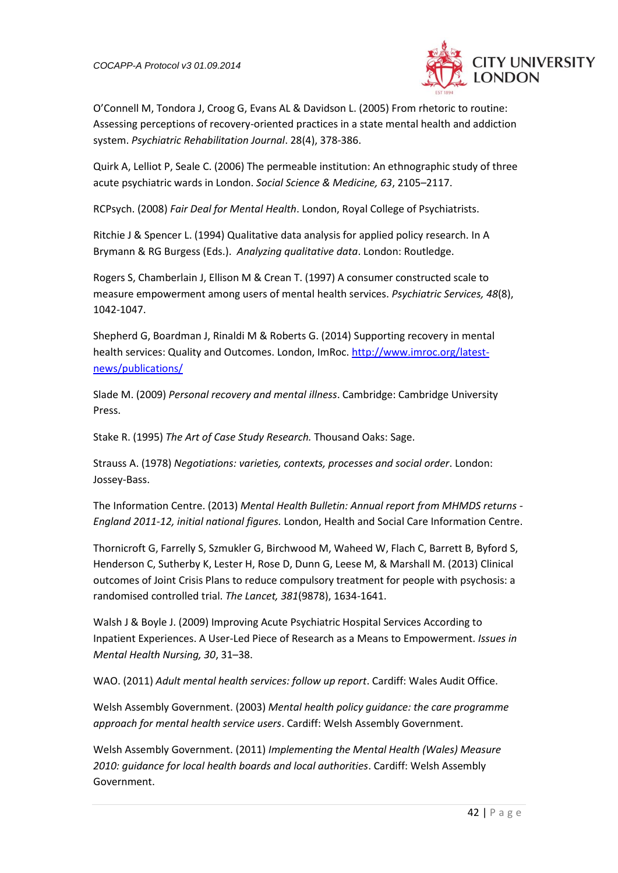

O'Connell M, Tondora J, Croog G, Evans AL & Davidson L. (2005) From rhetoric to routine: Assessing perceptions of recovery-oriented practices in a state mental health and addiction system. *Psychiatric Rehabilitation Journal*. 28(4), 378-386.

Quirk A, Lelliot P, Seale C. (2006) The permeable institution: An ethnographic study of three acute psychiatric wards in London. *Social Science & Medicine, 63*, 2105–2117.

RCPsych. (2008) *Fair Deal for Mental Health*. London, Royal College of Psychiatrists.

Ritchie J & Spencer L. (1994) Qualitative data analysis for applied policy research. In A Brymann & RG Burgess (Eds.). *Analyzing qualitative data*. London: Routledge.

Rogers S, Chamberlain J, Ellison M & Crean T. (1997) A consumer constructed scale to measure empowerment among users of mental health services. *Psychiatric Services, 48*(8), 1042-1047.

Shepherd G, Boardman J, Rinaldi M & Roberts G. (2014) Supporting recovery in mental health services: Quality and Outcomes. London, ImRoc. [http://www.imroc.org/latest](http://www.imroc.org/latest-news/publications/)[news/publications/](http://www.imroc.org/latest-news/publications/)

Slade M. (2009) *Personal recovery and mental illness*. Cambridge: Cambridge University Press.

Stake R. (1995) *The Art of Case Study Research.* Thousand Oaks: Sage.

Strauss A. (1978) *Negotiations: varieties, contexts, processes and social order*. London: Jossey-Bass.

The Information Centre. (2013) *Mental Health Bulletin: Annual report from MHMDS returns - England 2011-12, initial national figures.* London, Health and Social Care Information Centre.

Thornicroft G, Farrelly S, Szmukler G, Birchwood M, Waheed W, Flach C, Barrett B, Byford S, Henderson C, Sutherby K, Lester H, Rose D, Dunn G, Leese M, & Marshall M. (2013) Clinical outcomes of Joint Crisis Plans to reduce compulsory treatment for people with psychosis: a randomised controlled trial. *The Lancet, 381*(9878), 1634-1641.

Walsh J & Boyle J. (2009) Improving Acute Psychiatric Hospital Services According to Inpatient Experiences. A User-Led Piece of Research as a Means to Empowerment. *Issues in Mental Health Nursing, 30*, 31–38.

WAO. (2011) *Adult mental health services: follow up report*. Cardiff: Wales Audit Office.

Welsh Assembly Government. (2003) *Mental health policy guidance: the care programme approach for mental health service users*. Cardiff: Welsh Assembly Government.

Welsh Assembly Government. (2011) *Implementing the Mental Health (Wales) Measure 2010: guidance for local health boards and local authorities*. Cardiff: Welsh Assembly Government.